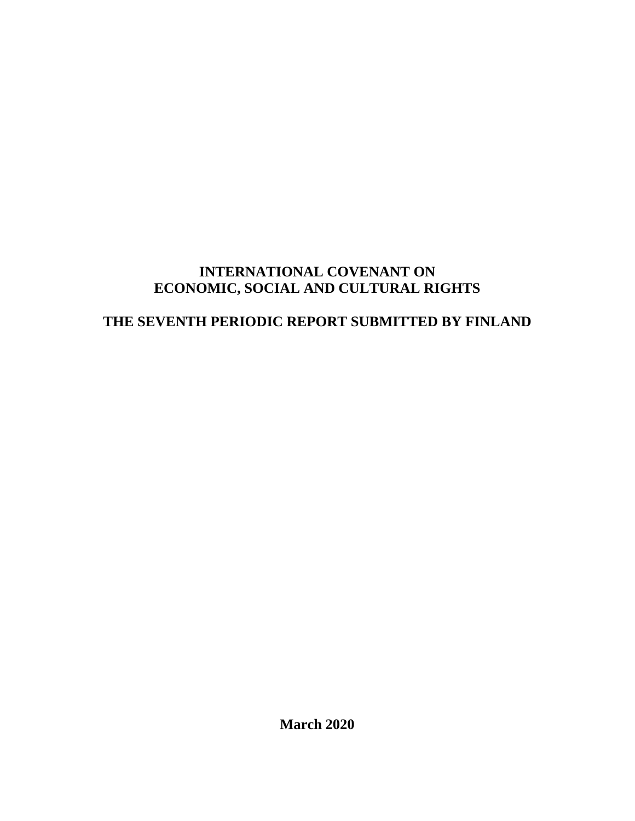# **INTERNATIONAL COVENANT ON ECONOMIC, SOCIAL AND CULTURAL RIGHTS**

# **THE SEVENTH PERIODIC REPORT SUBMITTED BY FINLAND**

**March 2020**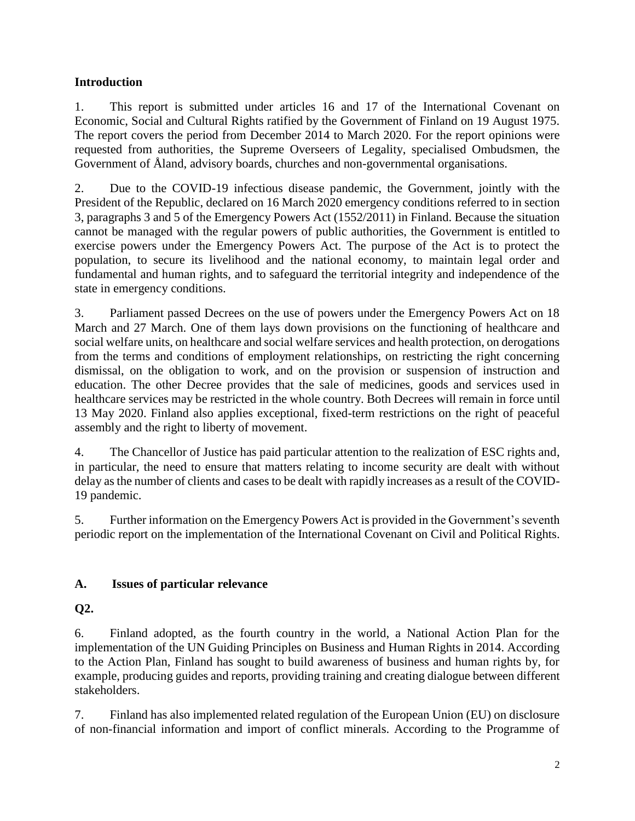#### **Introduction**

1. This report is submitted under articles 16 and 17 of the International Covenant on Economic, Social and Cultural Rights ratified by the Government of Finland on 19 August 1975. The report covers the period from December 2014 to March 2020. For the report opinions were requested from authorities, the Supreme Overseers of Legality, specialised Ombudsmen, the Government of Åland, advisory boards, churches and non-governmental organisations.

2. Due to the COVID-19 infectious disease pandemic, the Government, jointly with the President of the Republic, declared on 16 March 2020 emergency conditions referred to in section 3, paragraphs 3 and 5 of the Emergency Powers Act (1552/2011) in Finland. Because the situation cannot be managed with the regular powers of public authorities, the Government is entitled to exercise powers under the Emergency Powers Act. The purpose of the Act is to protect the population, to secure its livelihood and the national economy, to maintain legal order and fundamental and human rights, and to safeguard the territorial integrity and independence of the state in emergency conditions.

3. Parliament passed Decrees on the use of powers under the Emergency Powers Act on 18 March and 27 March. One of them lays down provisions on the functioning of healthcare and social welfare units, on healthcare and social welfare services and health protection, on derogations from the terms and conditions of employment relationships, on restricting the right concerning dismissal, on the obligation to work, and on the provision or suspension of instruction and education. The other Decree provides that the sale of medicines, goods and services used in healthcare services may be restricted in the whole country. Both Decrees will remain in force until 13 May 2020. Finland also applies exceptional, fixed-term restrictions on the right of peaceful assembly and the right to liberty of movement.

4. The Chancellor of Justice has paid particular attention to the realization of ESC rights and, in particular, the need to ensure that matters relating to income security are dealt with without delay as the number of clients and cases to be dealt with rapidly increases as a result of the COVID-19 pandemic.

5. Further information on the Emergency Powers Act is provided in the Government's seventh periodic report on the implementation of the International Covenant on Civil and Political Rights.

### **A. Issues of particular relevance**

### **Q2.**

6. Finland adopted, as the fourth country in the world, a National Action Plan for the implementation of the UN Guiding Principles on Business and Human Rights in 2014. According to the Action Plan, Finland has sought to build awareness of business and human rights by, for example, producing guides and reports, providing training and creating dialogue between different stakeholders.

7. Finland has also implemented related regulation of the European Union (EU) on disclosure of non-financial information and import of conflict minerals. According to the Programme of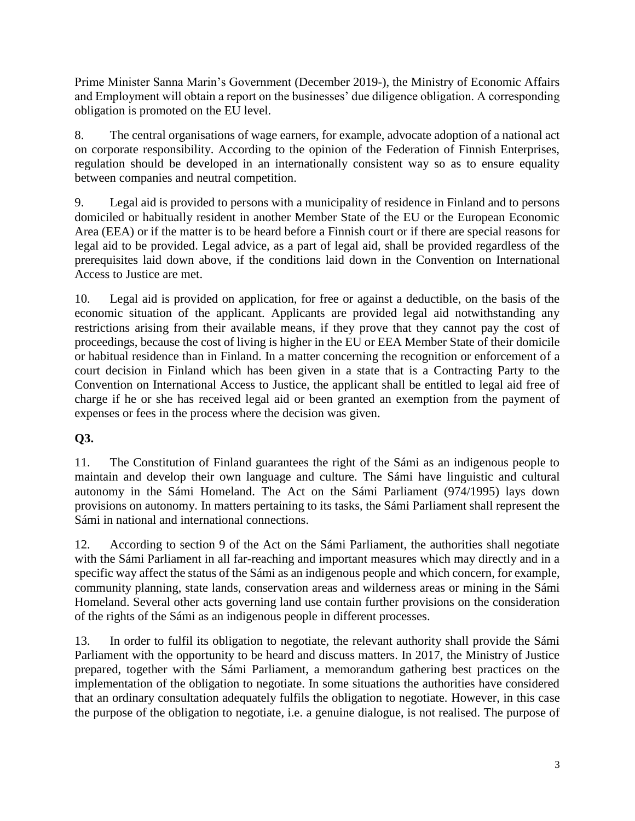Prime Minister Sanna Marin's Government (December 2019-), the Ministry of Economic Affairs and Employment will obtain a report on the businesses' due diligence obligation. A corresponding obligation is promoted on the EU level.

8. The central organisations of wage earners, for example, advocate adoption of a national act on corporate responsibility. According to the opinion of the Federation of Finnish Enterprises, regulation should be developed in an internationally consistent way so as to ensure equality between companies and neutral competition.

9. Legal aid is provided to persons with a municipality of residence in Finland and to persons domiciled or habitually resident in another Member State of the EU or the European Economic Area (EEA) or if the matter is to be heard before a Finnish court or if there are special reasons for legal aid to be provided. Legal advice, as a part of legal aid, shall be provided regardless of the prerequisites laid down above, if the conditions laid down in the Convention on International Access to Justice are met.

10. Legal aid is provided on application, for free or against a deductible, on the basis of the economic situation of the applicant. Applicants are provided legal aid notwithstanding any restrictions arising from their available means, if they prove that they cannot pay the cost of proceedings, because the cost of living is higher in the EU or EEA Member State of their domicile or habitual residence than in Finland. In a matter concerning the recognition or enforcement of a court decision in Finland which has been given in a state that is a Contracting Party to the Convention on International Access to Justice, the applicant shall be entitled to legal aid free of charge if he or she has received legal aid or been granted an exemption from the payment of expenses or fees in the process where the decision was given.

### **Q3.**

11. The Constitution of Finland guarantees the right of the Sámi as an indigenous people to maintain and develop their own language and culture. The Sámi have linguistic and cultural autonomy in the Sámi Homeland. The Act on the Sámi Parliament (974/1995) lays down provisions on autonomy. In matters pertaining to its tasks, the Sámi Parliament shall represent the Sámi in national and international connections.

12. According to section 9 of the Act on the Sámi Parliament, the authorities shall negotiate with the Sámi Parliament in all far-reaching and important measures which may directly and in a specific way affect the status of the Sámi as an indigenous people and which concern, for example, community planning, state lands, conservation areas and wilderness areas or mining in the Sámi Homeland. Several other acts governing land use contain further provisions on the consideration of the rights of the Sámi as an indigenous people in different processes.

13. In order to fulfil its obligation to negotiate, the relevant authority shall provide the Sámi Parliament with the opportunity to be heard and discuss matters. In 2017, the Ministry of Justice prepared, together with the Sámi Parliament, a memorandum gathering best practices on the implementation of the obligation to negotiate. In some situations the authorities have considered that an ordinary consultation adequately fulfils the obligation to negotiate. However, in this case the purpose of the obligation to negotiate, i.e. a genuine dialogue, is not realised. The purpose of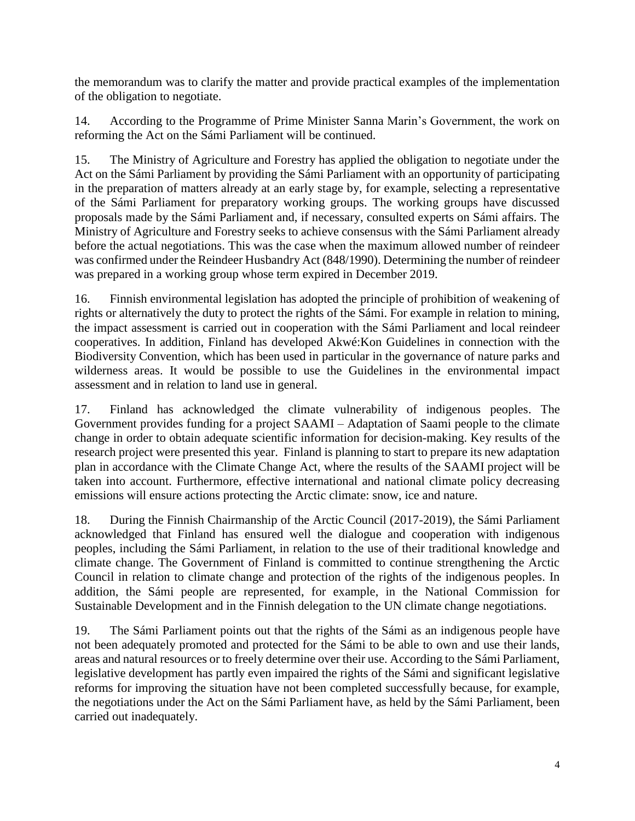the memorandum was to clarify the matter and provide practical examples of the implementation of the obligation to negotiate.

14. According to the Programme of Prime Minister Sanna Marin's Government, the work on reforming the Act on the Sámi Parliament will be continued.

15. The Ministry of Agriculture and Forestry has applied the obligation to negotiate under the Act on the Sámi Parliament by providing the Sámi Parliament with an opportunity of participating in the preparation of matters already at an early stage by, for example, selecting a representative of the Sámi Parliament for preparatory working groups. The working groups have discussed proposals made by the Sámi Parliament and, if necessary, consulted experts on Sámi affairs. The Ministry of Agriculture and Forestry seeks to achieve consensus with the Sámi Parliament already before the actual negotiations. This was the case when the maximum allowed number of reindeer was confirmed under the Reindeer Husbandry Act (848/1990). Determining the number of reindeer was prepared in a working group whose term expired in December 2019.

16. Finnish environmental legislation has adopted the principle of prohibition of weakening of rights or alternatively the duty to protect the rights of the Sámi. For example in relation to mining, the impact assessment is carried out in cooperation with the Sámi Parliament and local reindeer cooperatives. In addition, Finland has developed Akwé:Kon Guidelines in connection with the Biodiversity Convention, which has been used in particular in the governance of nature parks and wilderness areas. It would be possible to use the Guidelines in the environmental impact assessment and in relation to land use in general.

17. Finland has acknowledged the climate vulnerability of indigenous peoples. The Government provides funding for a project SAAMI – Adaptation of Saami people to the climate change in order to obtain adequate scientific information for decision-making. Key results of the research project were presented this year. Finland is planning to start to prepare its new adaptation plan in accordance with the Climate Change Act, where the results of the SAAMI project will be taken into account. Furthermore, effective international and national climate policy decreasing emissions will ensure actions protecting the Arctic climate: snow, ice and nature.

18. During the Finnish Chairmanship of the Arctic Council (2017-2019), the Sámi Parliament acknowledged that Finland has ensured well the dialogue and cooperation with indigenous peoples, including the Sámi Parliament, in relation to the use of their traditional knowledge and climate change. The Government of Finland is committed to continue strengthening the Arctic Council in relation to climate change and protection of the rights of the indigenous peoples. In addition, the Sámi people are represented, for example, in the National Commission for Sustainable Development and in the Finnish delegation to the UN climate change negotiations.

19. The Sámi Parliament points out that the rights of the Sámi as an indigenous people have not been adequately promoted and protected for the Sámi to be able to own and use their lands, areas and natural resources or to freely determine over their use. According to the Sámi Parliament, legislative development has partly even impaired the rights of the Sámi and significant legislative reforms for improving the situation have not been completed successfully because, for example, the negotiations under the Act on the Sámi Parliament have, as held by the Sámi Parliament, been carried out inadequately.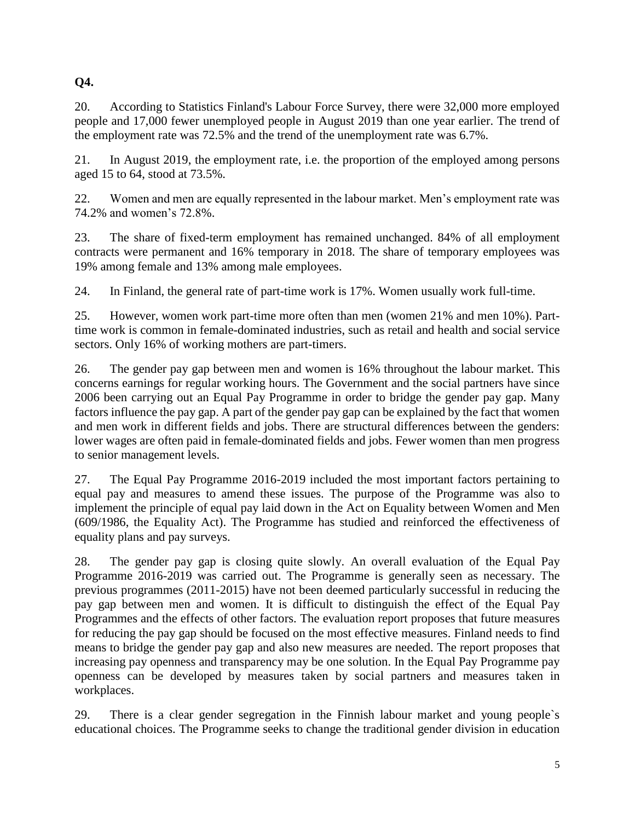# **Q4.**

20. According to Statistics Finland's Labour Force Survey, there were 32,000 more employed people and 17,000 fewer unemployed people in August 2019 than one year earlier. The trend of the employment rate was 72.5% and the trend of the unemployment rate was 6.7%.

21. In August 2019, the employment rate, i.e. the proportion of the employed among persons aged 15 to 64, stood at 73.5%.

22. Women and men are equally represented in the labour market. Men's employment rate was 74.2% and women's 72.8%.

23. The share of fixed-term employment has remained unchanged. 84% of all employment contracts were permanent and 16% temporary in 2018. The share of temporary employees was 19% among female and 13% among male employees.

24. In Finland, the general rate of part-time work is 17%. Women usually work full-time.

25. However, women work part-time more often than men (women 21% and men 10%). Parttime work is common in female-dominated industries, such as retail and health and social service sectors. Only 16% of working mothers are part-timers.

26. The gender pay gap between men and women is 16% throughout the labour market. This concerns earnings for regular working hours. The Government and the social partners have since 2006 been carrying out an Equal Pay Programme in order to bridge the gender pay gap. Many factors influence the pay gap. A part of the gender pay gap can be explained by the fact that women and men work in different fields and jobs. There are structural differences between the genders: lower wages are often paid in female-dominated fields and jobs. Fewer women than men progress to senior management levels.

27. The Equal Pay Programme 2016-2019 included the most important factors pertaining to equal pay and measures to amend these issues. The purpose of the Programme was also to implement the principle of equal pay laid down in the Act on Equality between Women and Men (609/1986, the Equality Act). The Programme has studied and reinforced the effectiveness of equality plans and pay surveys.

28. The gender pay gap is closing quite slowly. An overall evaluation of the Equal Pay Programme 2016-2019 was carried out. The Programme is generally seen as necessary. The previous programmes (2011-2015) have not been deemed particularly successful in reducing the pay gap between men and women. It is difficult to distinguish the effect of the Equal Pay Programmes and the effects of other factors. The evaluation report proposes that future measures for reducing the pay gap should be focused on the most effective measures. Finland needs to find means to bridge the gender pay gap and also new measures are needed. The report proposes that increasing pay openness and transparency may be one solution. In the Equal Pay Programme pay openness can be developed by measures taken by social partners and measures taken in workplaces.

29. There is a clear gender segregation in the Finnish labour market and young people`s educational choices. The Programme seeks to change the traditional gender division in education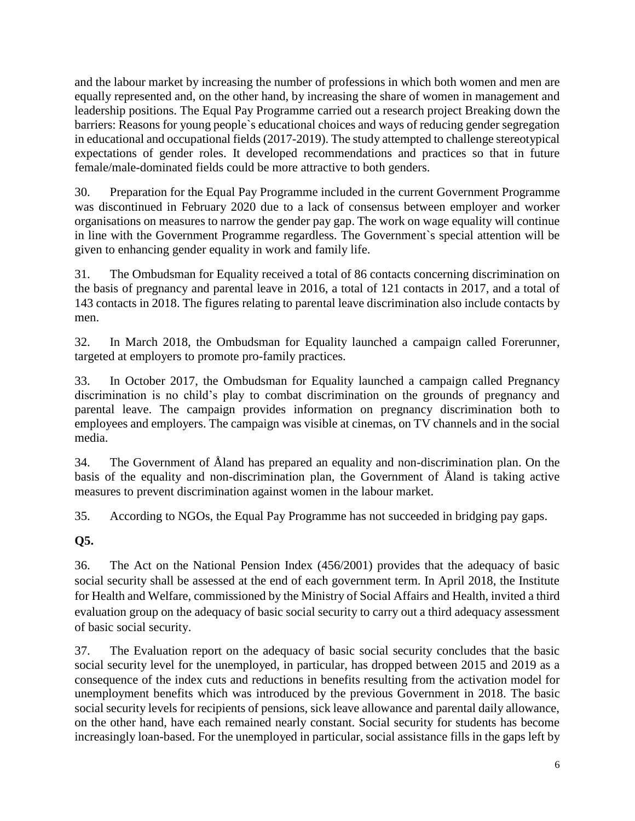and the labour market by increasing the number of professions in which both women and men are equally represented and, on the other hand, by increasing the share of women in management and leadership positions. The Equal Pay Programme carried out a research project Breaking down the barriers: Reasons for young people`s educational choices and ways of reducing gender segregation in educational and occupational fields (2017-2019). The study attempted to challenge stereotypical expectations of gender roles. It developed recommendations and practices so that in future female/male-dominated fields could be more attractive to both genders.

30. Preparation for the Equal Pay Programme included in the current Government Programme was discontinued in February 2020 due to a lack of consensus between employer and worker organisations on measures to narrow the gender pay gap. The work on wage equality will continue in line with the Government Programme regardless. The Government`s special attention will be given to enhancing gender equality in work and family life.

31. The Ombudsman for Equality received a total of 86 contacts concerning discrimination on the basis of pregnancy and parental leave in 2016, a total of 121 contacts in 2017, and a total of 143 contacts in 2018. The figures relating to parental leave discrimination also include contacts by men.

32. In March 2018, the Ombudsman for Equality launched a campaign called Forerunner, targeted at employers to promote pro-family practices.

33. In October 2017, the Ombudsman for Equality launched a campaign called Pregnancy discrimination is no child's play to combat discrimination on the grounds of pregnancy and parental leave. The campaign provides information on pregnancy discrimination both to employees and employers. The campaign was visible at cinemas, on TV channels and in the social media.

34. The Government of Åland has prepared an equality and non-discrimination plan. On the basis of the equality and non-discrimination plan, the Government of Åland is taking active measures to prevent discrimination against women in the labour market.

35. According to NGOs, the Equal Pay Programme has not succeeded in bridging pay gaps.

**Q5.**

36. The Act on the National Pension Index (456/2001) provides that the adequacy of basic social security shall be assessed at the end of each government term. In April 2018, the Institute for Health and Welfare, commissioned by the Ministry of Social Affairs and Health, invited a third evaluation group on the adequacy of basic social security to carry out a third adequacy assessment of basic social security.

37. The Evaluation report on the adequacy of basic social security concludes that the basic social security level for the unemployed, in particular, has dropped between 2015 and 2019 as a consequence of the index cuts and reductions in benefits resulting from the activation model for unemployment benefits which was introduced by the previous Government in 2018. The basic social security levels for recipients of pensions, sick leave allowance and parental daily allowance, on the other hand, have each remained nearly constant. Social security for students has become increasingly loan-based. For the unemployed in particular, social assistance fills in the gaps left by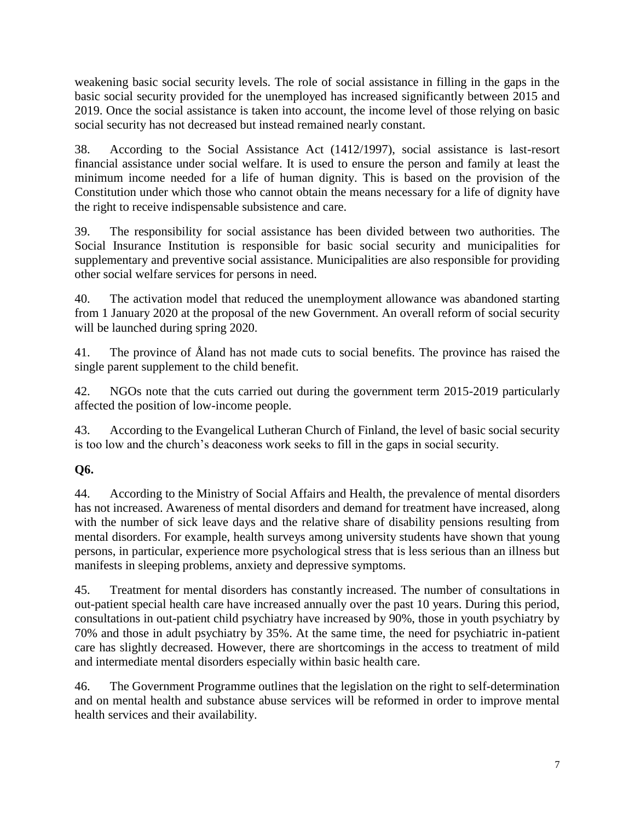weakening basic social security levels. The role of social assistance in filling in the gaps in the basic social security provided for the unemployed has increased significantly between 2015 and 2019. Once the social assistance is taken into account, the income level of those relying on basic social security has not decreased but instead remained nearly constant.

38. According to the Social Assistance Act (1412/1997), social assistance is last-resort financial assistance under social welfare. It is used to ensure the person and family at least the minimum income needed for a life of human dignity. This is based on the provision of the Constitution under which those who cannot obtain the means necessary for a life of dignity have the right to receive indispensable subsistence and care.

39. The responsibility for social assistance has been divided between two authorities. The Social Insurance Institution is responsible for basic social security and municipalities for supplementary and preventive social assistance. Municipalities are also responsible for providing other social welfare services for persons in need.

40. The activation model that reduced the unemployment allowance was abandoned starting from 1 January 2020 at the proposal of the new Government. An overall reform of social security will be launched during spring 2020.

41. The province of Åland has not made cuts to social benefits. The province has raised the single parent supplement to the child benefit.

42. NGOs note that the cuts carried out during the government term 2015-2019 particularly affected the position of low-income people.

43. According to the Evangelical Lutheran Church of Finland, the level of basic social security is too low and the church's deaconess work seeks to fill in the gaps in social security.

### **Q6.**

44. According to the Ministry of Social Affairs and Health, the prevalence of mental disorders has not increased. Awareness of mental disorders and demand for treatment have increased, along with the number of sick leave days and the relative share of disability pensions resulting from mental disorders. For example, health surveys among university students have shown that young persons, in particular, experience more psychological stress that is less serious than an illness but manifests in sleeping problems, anxiety and depressive symptoms.

45. Treatment for mental disorders has constantly increased. The number of consultations in out-patient special health care have increased annually over the past 10 years. During this period, consultations in out-patient child psychiatry have increased by 90%, those in youth psychiatry by 70% and those in adult psychiatry by 35%. At the same time, the need for psychiatric in-patient care has slightly decreased. However, there are shortcomings in the access to treatment of mild and intermediate mental disorders especially within basic health care.

46. The Government Programme outlines that the legislation on the right to self-determination and on mental health and substance abuse services will be reformed in order to improve mental health services and their availability.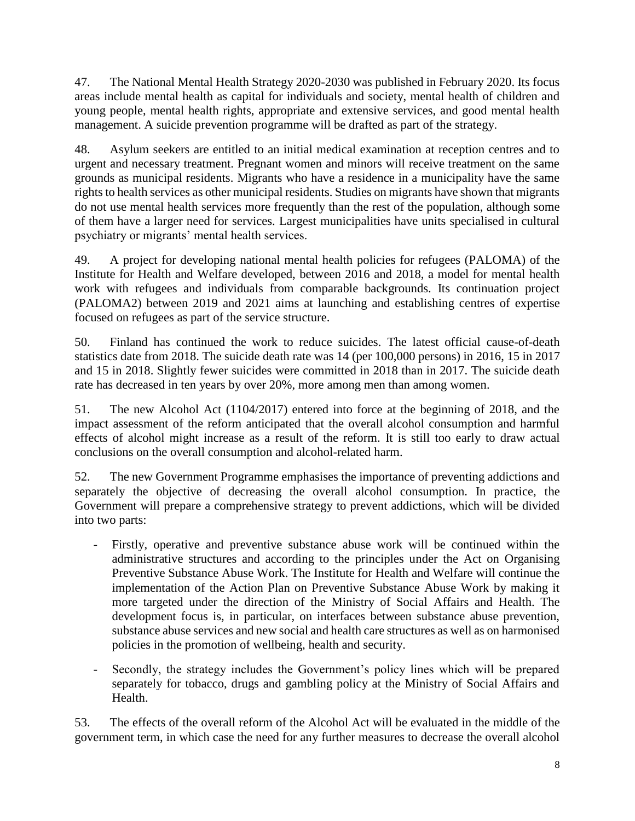47. The National Mental Health Strategy 2020-2030 was published in February 2020. Its focus areas include mental health as capital for individuals and society, mental health of children and young people, mental health rights, appropriate and extensive services, and good mental health management. A suicide prevention programme will be drafted as part of the strategy.

48. Asylum seekers are entitled to an initial medical examination at reception centres and to urgent and necessary treatment. Pregnant women and minors will receive treatment on the same grounds as municipal residents. Migrants who have a residence in a municipality have the same rights to health services as other municipal residents. Studies on migrants have shown that migrants do not use mental health services more frequently than the rest of the population, although some of them have a larger need for services. Largest municipalities have units specialised in cultural psychiatry or migrants' mental health services.

49. A project for developing national mental health policies for refugees (PALOMA) of the Institute for Health and Welfare developed, between 2016 and 2018, a model for mental health work with refugees and individuals from comparable backgrounds. Its continuation project (PALOMA2) between 2019 and 2021 aims at launching and establishing centres of expertise focused on refugees as part of the service structure.

50. Finland has continued the work to reduce suicides. The latest official cause-of-death statistics date from 2018. The suicide death rate was 14 (per 100,000 persons) in 2016, 15 in 2017 and 15 in 2018. Slightly fewer suicides were committed in 2018 than in 2017. The suicide death rate has decreased in ten years by over 20%, more among men than among women.

51. The new Alcohol Act (1104/2017) entered into force at the beginning of 2018, and the impact assessment of the reform anticipated that the overall alcohol consumption and harmful effects of alcohol might increase as a result of the reform. It is still too early to draw actual conclusions on the overall consumption and alcohol-related harm.

52. The new Government Programme emphasises the importance of preventing addictions and separately the objective of decreasing the overall alcohol consumption. In practice, the Government will prepare a comprehensive strategy to prevent addictions, which will be divided into two parts:

- Firstly, operative and preventive substance abuse work will be continued within the administrative structures and according to the principles under the Act on Organising Preventive Substance Abuse Work. The Institute for Health and Welfare will continue the implementation of the Action Plan on Preventive Substance Abuse Work by making it more targeted under the direction of the Ministry of Social Affairs and Health. The development focus is, in particular, on interfaces between substance abuse prevention, substance abuse services and new social and health care structures as well as on harmonised policies in the promotion of wellbeing, health and security.
- Secondly, the strategy includes the Government's policy lines which will be prepared separately for tobacco, drugs and gambling policy at the Ministry of Social Affairs and Health.

53. The effects of the overall reform of the Alcohol Act will be evaluated in the middle of the government term, in which case the need for any further measures to decrease the overall alcohol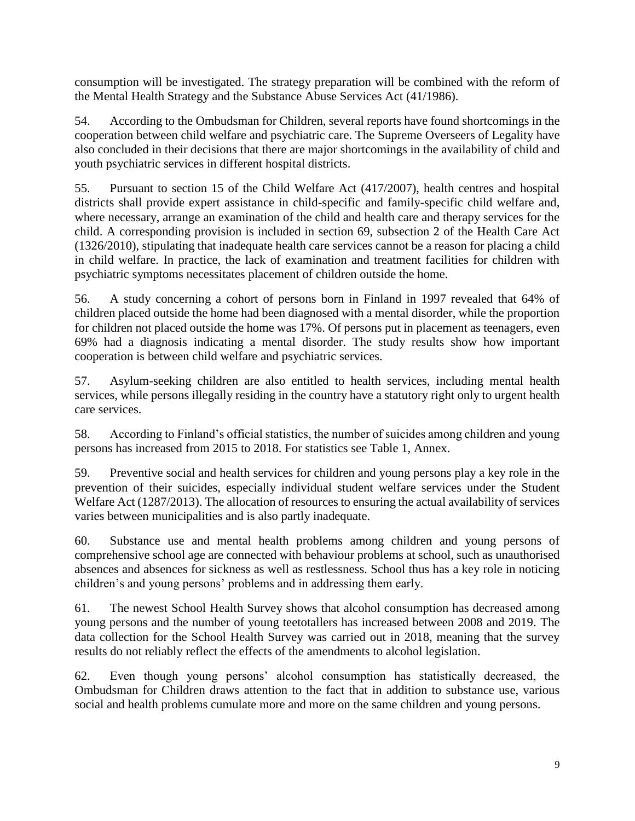consumption will be investigated. The strategy preparation will be combined with the reform of the Mental Health Strategy and the Substance Abuse Services Act (41/1986).

54. According to the Ombudsman for Children, several reports have found shortcomings in the cooperation between child welfare and psychiatric care. The Supreme Overseers of Legality have also concluded in their decisions that there are major shortcomings in the availability of child and youth psychiatric services in different hospital districts.

55. Pursuant to section 15 of the Child Welfare Act (417/2007), health centres and hospital districts shall provide expert assistance in child-specific and family-specific child welfare and, where necessary, arrange an examination of the child and health care and therapy services for the child. A corresponding provision is included in section 69, subsection 2 of the Health Care Act (1326/2010), stipulating that inadequate health care services cannot be a reason for placing a child in child welfare. In practice, the lack of examination and treatment facilities for children with psychiatric symptoms necessitates placement of children outside the home.

56. A study concerning a cohort of persons born in Finland in 1997 revealed that 64% of children placed outside the home had been diagnosed with a mental disorder, while the proportion for children not placed outside the home was 17%. Of persons put in placement as teenagers, even 69% had a diagnosis indicating a mental disorder. The study results show how important cooperation is between child welfare and psychiatric services.

57. Asylum-seeking children are also entitled to health services, including mental health services, while persons illegally residing in the country have a statutory right only to urgent health care services.

58. According to Finland's official statistics, the number of suicides among children and young persons has increased from 2015 to 2018. For statistics see Table 1, Annex.

59. Preventive social and health services for children and young persons play a key role in the prevention of their suicides, especially individual student welfare services under the Student Welfare Act (1287/2013). The allocation of resources to ensuring the actual availability of services varies between municipalities and is also partly inadequate.

60. Substance use and mental health problems among children and young persons of comprehensive school age are connected with behaviour problems at school, such as unauthorised absences and absences for sickness as well as restlessness. School thus has a key role in noticing children's and young persons' problems and in addressing them early.

61. The newest School Health Survey shows that alcohol consumption has decreased among young persons and the number of young teetotallers has increased between 2008 and 2019. The data collection for the School Health Survey was carried out in 2018, meaning that the survey results do not reliably reflect the effects of the amendments to alcohol legislation.

62. Even though young persons' alcohol consumption has statistically decreased, the Ombudsman for Children draws attention to the fact that in addition to substance use, various social and health problems cumulate more and more on the same children and young persons.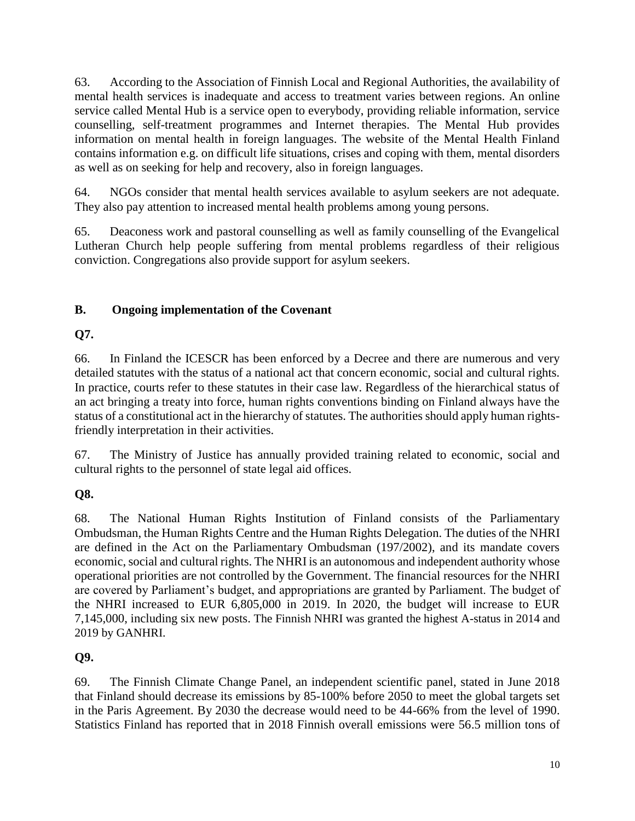63. According to the Association of Finnish Local and Regional Authorities, the availability of mental health services is inadequate and access to treatment varies between regions. An online service called Mental Hub is a service open to everybody, providing reliable information, service counselling, self-treatment programmes and Internet therapies. The Mental Hub provides information on mental health in foreign languages. The website of the Mental Health Finland contains information e.g. on difficult life situations, crises and coping with them, mental disorders as well as on seeking for help and recovery, also in foreign languages.

64. NGOs consider that mental health services available to asylum seekers are not adequate. They also pay attention to increased mental health problems among young persons.

65. Deaconess work and pastoral counselling as well as family counselling of the Evangelical Lutheran Church help people suffering from mental problems regardless of their religious conviction. Congregations also provide support for asylum seekers.

### **B. Ongoing implementation of the Covenant**

### **Q7.**

66. In Finland the ICESCR has been enforced by a Decree and there are numerous and very detailed statutes with the status of a national act that concern economic, social and cultural rights. In practice, courts refer to these statutes in their case law. Regardless of the hierarchical status of an act bringing a treaty into force, human rights conventions binding on Finland always have the status of a constitutional act in the hierarchy of statutes. The authorities should apply human rightsfriendly interpretation in their activities.

67. The Ministry of Justice has annually provided training related to economic, social and cultural rights to the personnel of state legal aid offices.

### **Q8.**

68. The National Human Rights Institution of Finland consists of the Parliamentary Ombudsman, the Human Rights Centre and the Human Rights Delegation. The duties of the NHRI are defined in the Act on the Parliamentary Ombudsman (197/2002), and its mandate covers economic, social and cultural rights. The NHRI is an autonomous and independent authority whose operational priorities are not controlled by the Government. The financial resources for the NHRI are covered by Parliament's budget, and appropriations are granted by Parliament. The budget of the NHRI increased to EUR 6,805,000 in 2019. In 2020, the budget will increase to EUR 7,145,000, including six new posts. The Finnish NHRI was granted the highest A-status in 2014 and 2019 by GANHRI.

### **Q9.**

69. The Finnish Climate Change Panel, an independent scientific panel, stated in June 2018 that Finland should decrease its emissions by 85-100% before 2050 to meet the global targets set in the Paris Agreement. By 2030 the decrease would need to be 44-66% from the level of 1990. Statistics Finland has reported that in 2018 Finnish overall emissions were 56.5 million tons of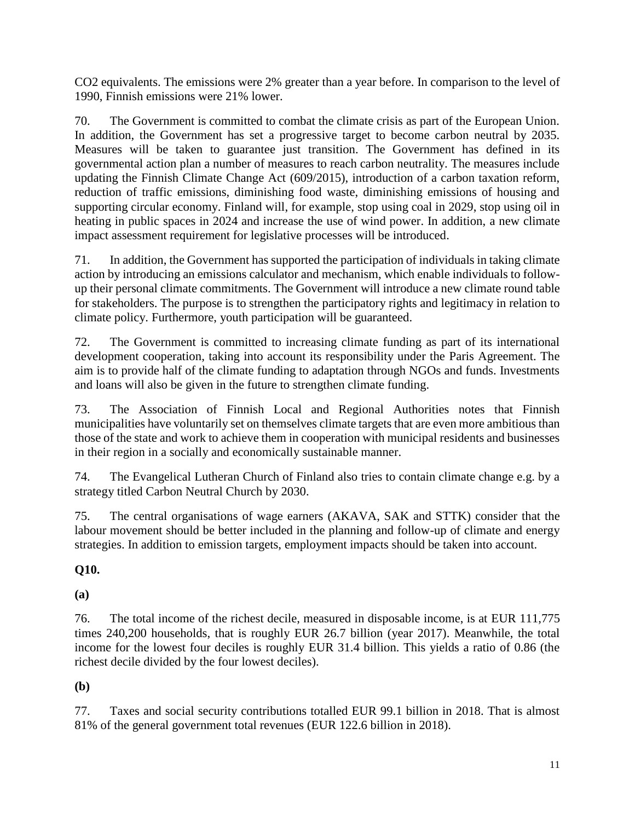CO2 equivalents. The emissions were 2% greater than a year before. In comparison to the level of 1990, Finnish emissions were 21% lower.

70. The Government is committed to combat the climate crisis as part of the European Union. In addition, the Government has set a progressive target to become carbon neutral by 2035. Measures will be taken to guarantee just transition. The Government has defined in its governmental action plan a number of measures to reach carbon neutrality. The measures include updating the Finnish Climate Change Act (609/2015), introduction of a carbon taxation reform, reduction of traffic emissions, diminishing food waste, diminishing emissions of housing and supporting circular economy. Finland will, for example, stop using coal in 2029, stop using oil in heating in public spaces in 2024 and increase the use of wind power. In addition, a new climate impact assessment requirement for legislative processes will be introduced.

71. In addition, the Government has supported the participation of individuals in taking climate action by introducing an emissions calculator and mechanism, which enable individuals to followup their personal climate commitments. The Government will introduce a new climate round table for stakeholders. The purpose is to strengthen the participatory rights and legitimacy in relation to climate policy. Furthermore, youth participation will be guaranteed.

72. The Government is committed to increasing climate funding as part of its international development cooperation, taking into account its responsibility under the Paris Agreement. The aim is to provide half of the climate funding to adaptation through NGOs and funds. Investments and loans will also be given in the future to strengthen climate funding.

73. The Association of Finnish Local and Regional Authorities notes that Finnish municipalities have voluntarily set on themselves climate targets that are even more ambitious than those of the state and work to achieve them in cooperation with municipal residents and businesses in their region in a socially and economically sustainable manner.

74. The Evangelical Lutheran Church of Finland also tries to contain climate change e.g. by a strategy titled Carbon Neutral Church by 2030.

75. The central organisations of wage earners (AKAVA, SAK and STTK) consider that the labour movement should be better included in the planning and follow-up of climate and energy strategies. In addition to emission targets, employment impacts should be taken into account.

### **Q10.**

**(a)** 

76. The total income of the richest decile, measured in disposable income, is at EUR 111,775 times 240,200 households, that is roughly EUR 26.7 billion (year 2017). Meanwhile, the total income for the lowest four deciles is roughly EUR 31.4 billion. This yields a ratio of 0.86 (the richest decile divided by the four lowest deciles).

### **(b)**

77. Taxes and social security contributions totalled EUR 99.1 billion in 2018. That is almost 81% of the general government total revenues (EUR 122.6 billion in 2018).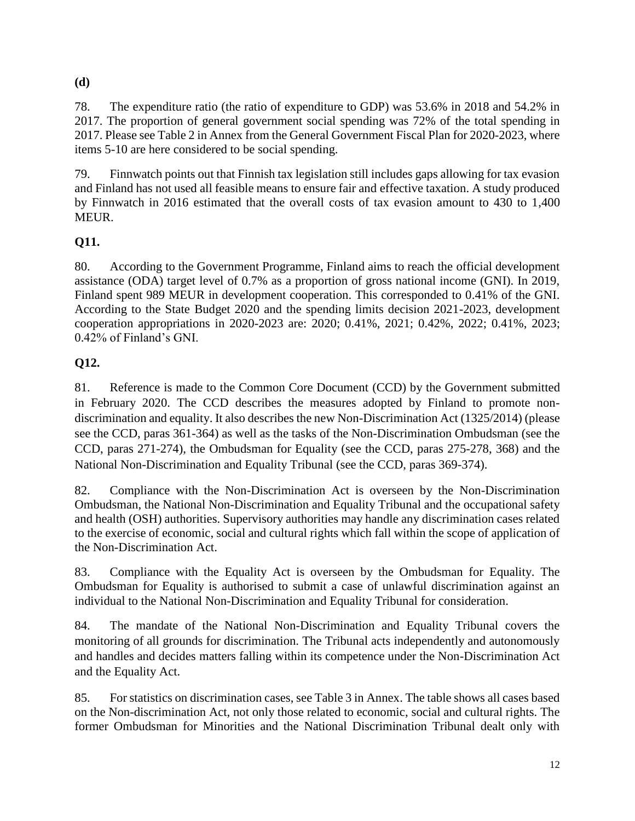### **(d)**

78. The expenditure ratio (the ratio of expenditure to GDP) was 53.6% in 2018 and 54.2% in 2017. The proportion of general government social spending was 72% of the total spending in 2017. Please see Table 2 in Annex from the General Government Fiscal Plan for 2020-2023, where items 5-10 are here considered to be social spending.

79. Finnwatch points out that Finnish tax legislation still includes gaps allowing for tax evasion and Finland has not used all feasible means to ensure fair and effective taxation. A study produced by Finnwatch in 2016 estimated that the overall costs of tax evasion amount to 430 to 1,400 MEUR.

# **Q11.**

80. According to the Government Programme, Finland aims to reach the official development assistance (ODA) target level of 0.7% as a proportion of gross national income (GNI). In 2019, Finland spent 989 MEUR in development cooperation. This corresponded to 0.41% of the GNI. According to the State Budget 2020 and the spending limits decision 2021-2023, development cooperation appropriations in 2020-2023 are: 2020; 0.41%, 2021; 0.42%, 2022; 0.41%, 2023; 0.42% of Finland's GNI.

# **Q12.**

81. Reference is made to the Common Core Document (CCD) by the Government submitted in February 2020. The CCD describes the measures adopted by Finland to promote nondiscrimination and equality. It also describes the new Non-Discrimination Act (1325/2014) (please see the CCD, paras 361-364) as well as the tasks of the Non-Discrimination Ombudsman (see the CCD, paras 271-274), the Ombudsman for Equality (see the CCD, paras 275-278, 368) and the National Non-Discrimination and Equality Tribunal (see the CCD, paras 369-374).

82. Compliance with the Non-Discrimination Act is overseen by the Non-Discrimination Ombudsman, the National Non-Discrimination and Equality Tribunal and the occupational safety and health (OSH) authorities. Supervisory authorities may handle any discrimination cases related to the exercise of economic, social and cultural rights which fall within the scope of application of the Non-Discrimination Act.

83. Compliance with the Equality Act is overseen by the Ombudsman for Equality. The Ombudsman for Equality is authorised to submit a case of unlawful discrimination against an individual to the National Non-Discrimination and Equality Tribunal for consideration.

84. The mandate of the National Non-Discrimination and Equality Tribunal covers the monitoring of all grounds for discrimination. The Tribunal acts independently and autonomously and handles and decides matters falling within its competence under the Non-Discrimination Act and the Equality Act.

85. For statistics on discrimination cases, see Table 3 in Annex. The table shows all cases based on the Non-discrimination Act, not only those related to economic, social and cultural rights. The former Ombudsman for Minorities and the National Discrimination Tribunal dealt only with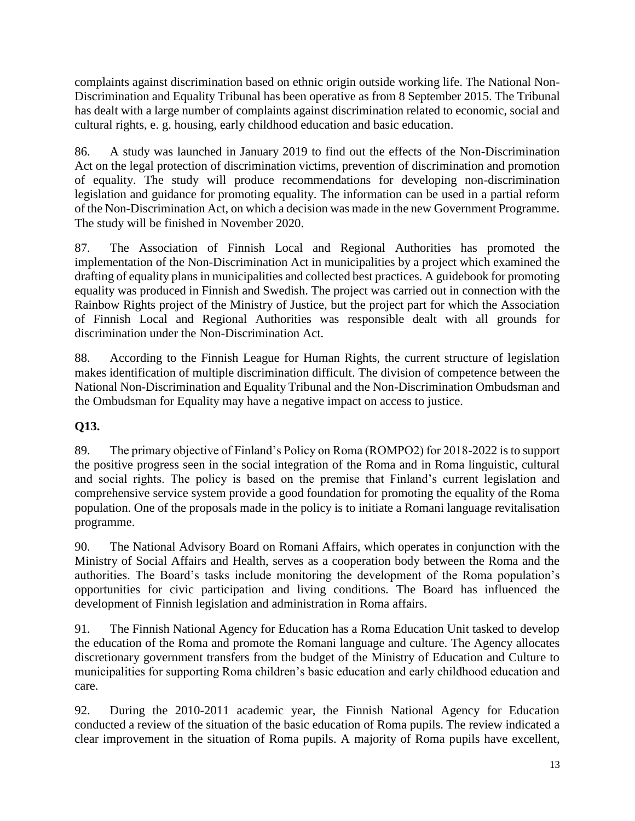complaints against discrimination based on ethnic origin outside working life. The National Non-Discrimination and Equality Tribunal has been operative as from 8 September 2015. The Tribunal has dealt with a large number of complaints against discrimination related to economic, social and cultural rights, e. g. housing, early childhood education and basic education.

86. A study was launched in January 2019 to find out the effects of the Non-Discrimination Act on the legal protection of discrimination victims, prevention of discrimination and promotion of equality. The study will produce recommendations for developing non-discrimination legislation and guidance for promoting equality. The information can be used in a partial reform of the Non-Discrimination Act, on which a decision was made in the new Government Programme. The study will be finished in November 2020.

87. The Association of Finnish Local and Regional Authorities has promoted the implementation of the Non-Discrimination Act in municipalities by a project which examined the drafting of equality plans in municipalities and collected best practices. A guidebook for promoting equality was produced in Finnish and Swedish. The project was carried out in connection with the Rainbow Rights project of the Ministry of Justice, but the project part for which the Association of Finnish Local and Regional Authorities was responsible dealt with all grounds for discrimination under the Non-Discrimination Act.

88. According to the Finnish League for Human Rights, the current structure of legislation makes identification of multiple discrimination difficult. The division of competence between the National Non-Discrimination and Equality Tribunal and the Non-Discrimination Ombudsman and the Ombudsman for Equality may have a negative impact on access to justice.

### **Q13.**

89. The primary objective of Finland's Policy on Roma (ROMPO2) for 2018-2022 is to support the positive progress seen in the social integration of the Roma and in Roma linguistic, cultural and social rights. The policy is based on the premise that Finland's current legislation and comprehensive service system provide a good foundation for promoting the equality of the Roma population. One of the proposals made in the policy is to initiate a Romani language revitalisation programme.

90. The National Advisory Board on Romani Affairs, which operates in conjunction with the Ministry of Social Affairs and Health, serves as a cooperation body between the Roma and the authorities. The Board's tasks include monitoring the development of the Roma population's opportunities for civic participation and living conditions. The Board has influenced the development of Finnish legislation and administration in Roma affairs.

91. The Finnish National Agency for Education has a Roma Education Unit tasked to develop the education of the Roma and promote the Romani language and culture. The Agency allocates discretionary government transfers from the budget of the Ministry of Education and Culture to municipalities for supporting Roma children's basic education and early childhood education and care.

92. During the 2010-2011 academic year, the Finnish National Agency for Education conducted a review of the situation of the basic education of Roma pupils. The review indicated a clear improvement in the situation of Roma pupils. A majority of Roma pupils have excellent,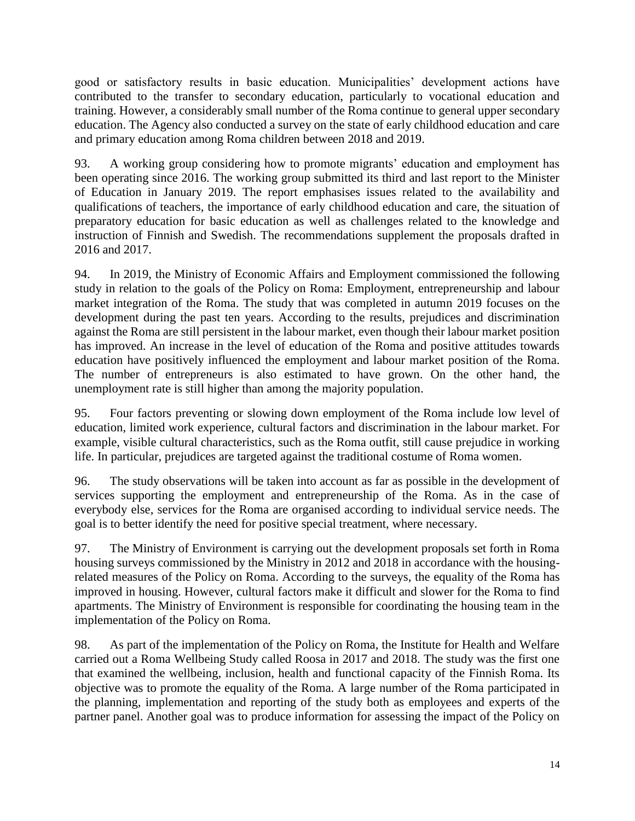good or satisfactory results in basic education. Municipalities' development actions have contributed to the transfer to secondary education, particularly to vocational education and training. However, a considerably small number of the Roma continue to general upper secondary education. The Agency also conducted a survey on the state of early childhood education and care and primary education among Roma children between 2018 and 2019.

93. A working group considering how to promote migrants' education and employment has been operating since 2016. The working group submitted its third and last report to the Minister of Education in January 2019. The report emphasises issues related to the availability and qualifications of teachers, the importance of early childhood education and care, the situation of preparatory education for basic education as well as challenges related to the knowledge and instruction of Finnish and Swedish. The recommendations supplement the proposals drafted in 2016 and 2017.

94. In 2019, the Ministry of Economic Affairs and Employment commissioned the following study in relation to the goals of the Policy on Roma: Employment, entrepreneurship and labour market integration of the Roma. The study that was completed in autumn 2019 focuses on the development during the past ten years. According to the results, prejudices and discrimination against the Roma are still persistent in the labour market, even though their labour market position has improved. An increase in the level of education of the Roma and positive attitudes towards education have positively influenced the employment and labour market position of the Roma. The number of entrepreneurs is also estimated to have grown. On the other hand, the unemployment rate is still higher than among the majority population.

95. Four factors preventing or slowing down employment of the Roma include low level of education, limited work experience, cultural factors and discrimination in the labour market. For example, visible cultural characteristics, such as the Roma outfit, still cause prejudice in working life. In particular, prejudices are targeted against the traditional costume of Roma women.

96. The study observations will be taken into account as far as possible in the development of services supporting the employment and entrepreneurship of the Roma. As in the case of everybody else, services for the Roma are organised according to individual service needs. The goal is to better identify the need for positive special treatment, where necessary.

97. The Ministry of Environment is carrying out the development proposals set forth in Roma housing surveys commissioned by the Ministry in 2012 and 2018 in accordance with the housingrelated measures of the Policy on Roma. According to the surveys, the equality of the Roma has improved in housing. However, cultural factors make it difficult and slower for the Roma to find apartments. The Ministry of Environment is responsible for coordinating the housing team in the implementation of the Policy on Roma.

98. As part of the implementation of the Policy on Roma, the Institute for Health and Welfare carried out a Roma Wellbeing Study called Roosa in 2017 and 2018. The study was the first one that examined the wellbeing, inclusion, health and functional capacity of the Finnish Roma. Its objective was to promote the equality of the Roma. A large number of the Roma participated in the planning, implementation and reporting of the study both as employees and experts of the partner panel. Another goal was to produce information for assessing the impact of the Policy on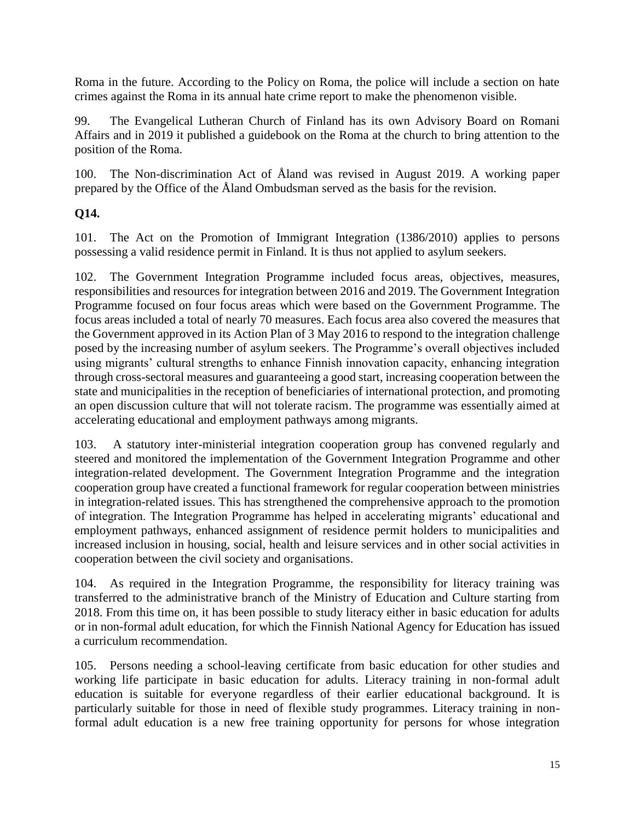Roma in the future. According to the Policy on Roma, the police will include a section on hate crimes against the Roma in its annual hate crime report to make the phenomenon visible.

99. The Evangelical Lutheran Church of Finland has its own Advisory Board on Romani Affairs and in 2019 it published a guidebook on the Roma at the church to bring attention to the position of the Roma.

100. The Non-discrimination Act of Åland was revised in August 2019. A working paper prepared by the Office of the Åland Ombudsman served as the basis for the revision.

### **Q14.**

101. The Act on the Promotion of Immigrant Integration (1386/2010) applies to persons possessing a valid residence permit in Finland. It is thus not applied to asylum seekers.

102. The Government Integration Programme included focus areas, objectives, measures, responsibilities and resources for integration between 2016 and 2019. The Government Integration Programme focused on four focus areas which were based on the Government Programme. The focus areas included a total of nearly 70 measures. Each focus area also covered the measures that the Government approved in its Action Plan of 3 May 2016 to respond to the integration challenge posed by the increasing number of asylum seekers. The Programme's overall objectives included using migrants' cultural strengths to enhance Finnish innovation capacity, enhancing integration through cross-sectoral measures and guaranteeing a good start, increasing cooperation between the state and municipalities in the reception of beneficiaries of international protection, and promoting an open discussion culture that will not tolerate racism. The programme was essentially aimed at accelerating educational and employment pathways among migrants.

103. A statutory inter-ministerial integration cooperation group has convened regularly and steered and monitored the implementation of the Government Integration Programme and other integration-related development. The Government Integration Programme and the integration cooperation group have created a functional framework for regular cooperation between ministries in integration-related issues. This has strengthened the comprehensive approach to the promotion of integration. The Integration Programme has helped in accelerating migrants' educational and employment pathways, enhanced assignment of residence permit holders to municipalities and increased inclusion in housing, social, health and leisure services and in other social activities in cooperation between the civil society and organisations.

104. As required in the Integration Programme, the responsibility for literacy training was transferred to the administrative branch of the Ministry of Education and Culture starting from 2018. From this time on, it has been possible to study literacy either in basic education for adults or in non-formal adult education, for which the Finnish National Agency for Education has issued a curriculum recommendation.

105. Persons needing a school-leaving certificate from basic education for other studies and working life participate in basic education for adults. Literacy training in non-formal adult education is suitable for everyone regardless of their earlier educational background. It is particularly suitable for those in need of flexible study programmes. Literacy training in nonformal adult education is a new free training opportunity for persons for whose integration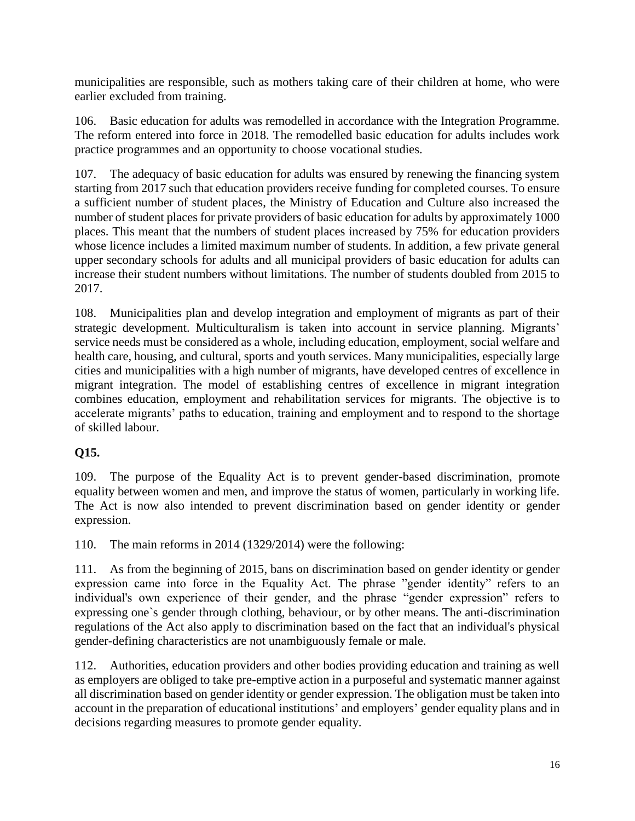municipalities are responsible, such as mothers taking care of their children at home, who were earlier excluded from training.

106. Basic education for adults was remodelled in accordance with the Integration Programme. The reform entered into force in 2018. The remodelled basic education for adults includes work practice programmes and an opportunity to choose vocational studies.

107. The adequacy of basic education for adults was ensured by renewing the financing system starting from 2017 such that education providers receive funding for completed courses. To ensure a sufficient number of student places, the Ministry of Education and Culture also increased the number of student places for private providers of basic education for adults by approximately 1000 places. This meant that the numbers of student places increased by 75% for education providers whose licence includes a limited maximum number of students. In addition, a few private general upper secondary schools for adults and all municipal providers of basic education for adults can increase their student numbers without limitations. The number of students doubled from 2015 to 2017.

108. Municipalities plan and develop integration and employment of migrants as part of their strategic development. Multiculturalism is taken into account in service planning. Migrants' service needs must be considered as a whole, including education, employment, social welfare and health care, housing, and cultural, sports and youth services. Many municipalities, especially large cities and municipalities with a high number of migrants, have developed centres of excellence in migrant integration. The model of establishing centres of excellence in migrant integration combines education, employment and rehabilitation services for migrants. The objective is to accelerate migrants' paths to education, training and employment and to respond to the shortage of skilled labour.

### **Q15.**

109. The purpose of the Equality Act is to prevent gender-based discrimination, promote equality between women and men, and improve the status of women, particularly in working life. The Act is now also intended to prevent discrimination based on gender identity or gender expression.

110. The main reforms in 2014 (1329/2014) were the following:

111. As from the beginning of 2015, bans on discrimination based on gender identity or gender expression came into force in the Equality Act. The phrase "gender identity" refers to an individual's own experience of their gender, and the phrase "gender expression" refers to expressing one`s gender through clothing, behaviour, or by other means. The anti-discrimination regulations of the Act also apply to discrimination based on the fact that an individual's physical gender-defining characteristics are not unambiguously female or male.

112. Authorities, education providers and other bodies providing education and training as well as employers are obliged to take pre-emptive action in a purposeful and systematic manner against all discrimination based on gender identity or gender expression. The obligation must be taken into account in the preparation of educational institutions' and employers' gender equality plans and in decisions regarding measures to promote gender equality.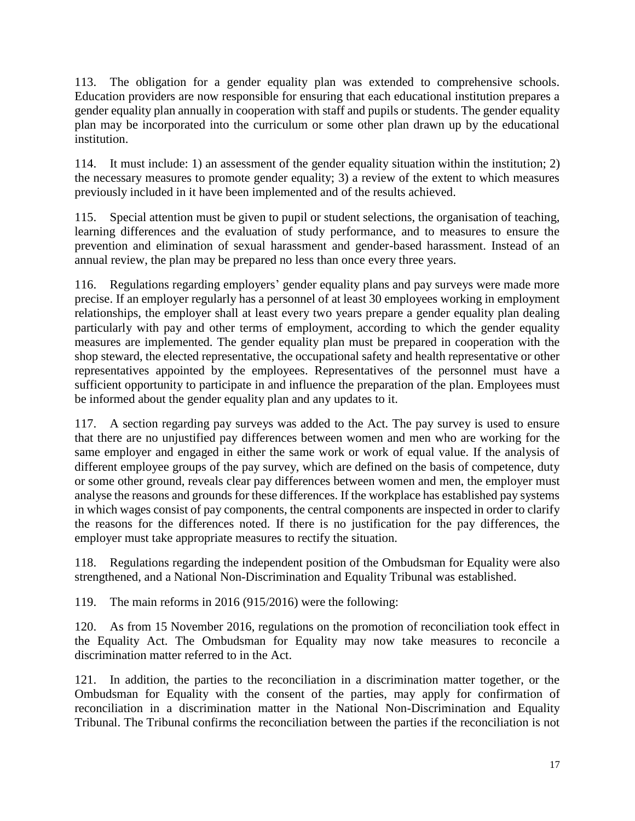113. The obligation for a gender equality plan was extended to comprehensive schools. Education providers are now responsible for ensuring that each educational institution prepares a gender equality plan annually in cooperation with staff and pupils or students. The gender equality plan may be incorporated into the curriculum or some other plan drawn up by the educational institution.

114. It must include: 1) an assessment of the gender equality situation within the institution; 2) the necessary measures to promote gender equality; 3) a review of the extent to which measures previously included in it have been implemented and of the results achieved.

115. Special attention must be given to pupil or student selections, the organisation of teaching, learning differences and the evaluation of study performance, and to measures to ensure the prevention and elimination of sexual harassment and gender-based harassment. Instead of an annual review, the plan may be prepared no less than once every three years.

116. Regulations regarding employers' gender equality plans and pay surveys were made more precise. If an employer regularly has a personnel of at least 30 employees working in employment relationships, the employer shall at least every two years prepare a gender equality plan dealing particularly with pay and other terms of employment, according to which the gender equality measures are implemented. The gender equality plan must be prepared in cooperation with the shop steward, the elected representative, the occupational safety and health representative or other representatives appointed by the employees. Representatives of the personnel must have a sufficient opportunity to participate in and influence the preparation of the plan. Employees must be informed about the gender equality plan and any updates to it.

117. A section regarding pay surveys was added to the Act. The pay survey is used to ensure that there are no unjustified pay differences between women and men who are working for the same employer and engaged in either the same work or work of equal value. If the analysis of different employee groups of the pay survey, which are defined on the basis of competence, duty or some other ground, reveals clear pay differences between women and men, the employer must analyse the reasons and grounds for these differences. If the workplace has established pay systems in which wages consist of pay components, the central components are inspected in order to clarify the reasons for the differences noted. If there is no justification for the pay differences, the employer must take appropriate measures to rectify the situation.

118. Regulations regarding the independent position of the Ombudsman for Equality were also strengthened, and a National Non-Discrimination and Equality Tribunal was established.

119. The main reforms in 2016 (915/2016) were the following:

120. As from 15 November 2016, regulations on the promotion of reconciliation took effect in the Equality Act. The Ombudsman for Equality may now take measures to reconcile a discrimination matter referred to in the Act.

121. In addition, the parties to the reconciliation in a discrimination matter together, or the Ombudsman for Equality with the consent of the parties, may apply for confirmation of reconciliation in a discrimination matter in the National Non-Discrimination and Equality Tribunal. The Tribunal confirms the reconciliation between the parties if the reconciliation is not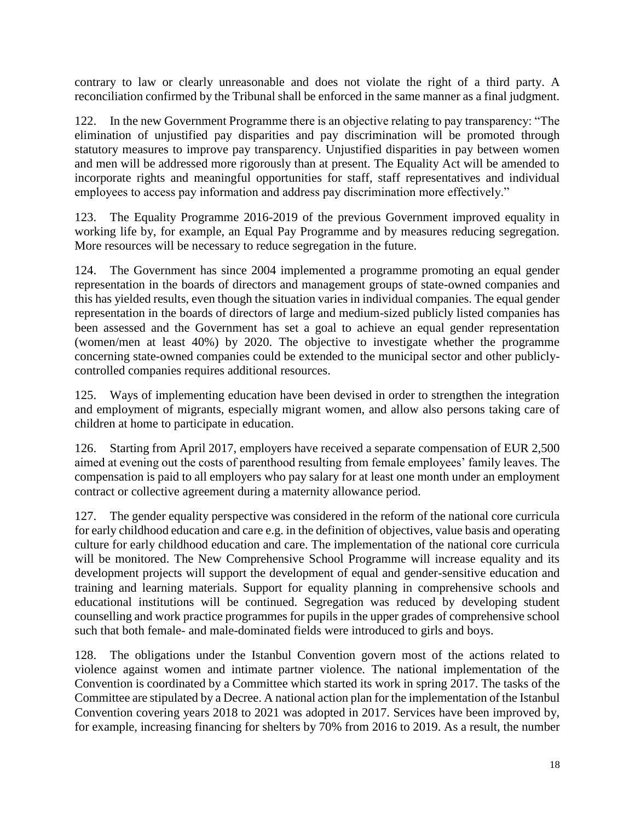contrary to law or clearly unreasonable and does not violate the right of a third party. A reconciliation confirmed by the Tribunal shall be enforced in the same manner as a final judgment.

122. In the new Government Programme there is an objective relating to pay transparency: "The elimination of unjustified pay disparities and pay discrimination will be promoted through statutory measures to improve pay transparency. Unjustified disparities in pay between women and men will be addressed more rigorously than at present. The Equality Act will be amended to incorporate rights and meaningful opportunities for staff, staff representatives and individual employees to access pay information and address pay discrimination more effectively."

123. The Equality Programme 2016-2019 of the previous Government improved equality in working life by, for example, an Equal Pay Programme and by measures reducing segregation. More resources will be necessary to reduce segregation in the future.

124. The Government has since 2004 implemented a programme promoting an equal gender representation in the boards of directors and management groups of state-owned companies and this has yielded results, even though the situation varies in individual companies. The equal gender representation in the boards of directors of large and medium-sized publicly listed companies has been assessed and the Government has set a goal to achieve an equal gender representation (women/men at least 40%) by 2020. The objective to investigate whether the programme concerning state-owned companies could be extended to the municipal sector and other publiclycontrolled companies requires additional resources.

125. Ways of implementing education have been devised in order to strengthen the integration and employment of migrants, especially migrant women, and allow also persons taking care of children at home to participate in education.

126. Starting from April 2017, employers have received a separate compensation of EUR 2,500 aimed at evening out the costs of parenthood resulting from female employees' family leaves. The compensation is paid to all employers who pay salary for at least one month under an employment contract or collective agreement during a maternity allowance period.

127. The gender equality perspective was considered in the reform of the national core curricula for early childhood education and care e.g. in the definition of objectives, value basis and operating culture for early childhood education and care. The implementation of the national core curricula will be monitored. The New Comprehensive School Programme will increase equality and its development projects will support the development of equal and gender-sensitive education and training and learning materials. Support for equality planning in comprehensive schools and educational institutions will be continued. Segregation was reduced by developing student counselling and work practice programmes for pupils in the upper grades of comprehensive school such that both female- and male-dominated fields were introduced to girls and boys.

128. The obligations under the Istanbul Convention govern most of the actions related to violence against women and intimate partner violence. The national implementation of the Convention is coordinated by a Committee which started its work in spring 2017. The tasks of the Committee are stipulated by a Decree. A national action plan for the implementation of the Istanbul Convention covering years 2018 to 2021 was adopted in 2017. Services have been improved by, for example, increasing financing for shelters by 70% from 2016 to 2019. As a result, the number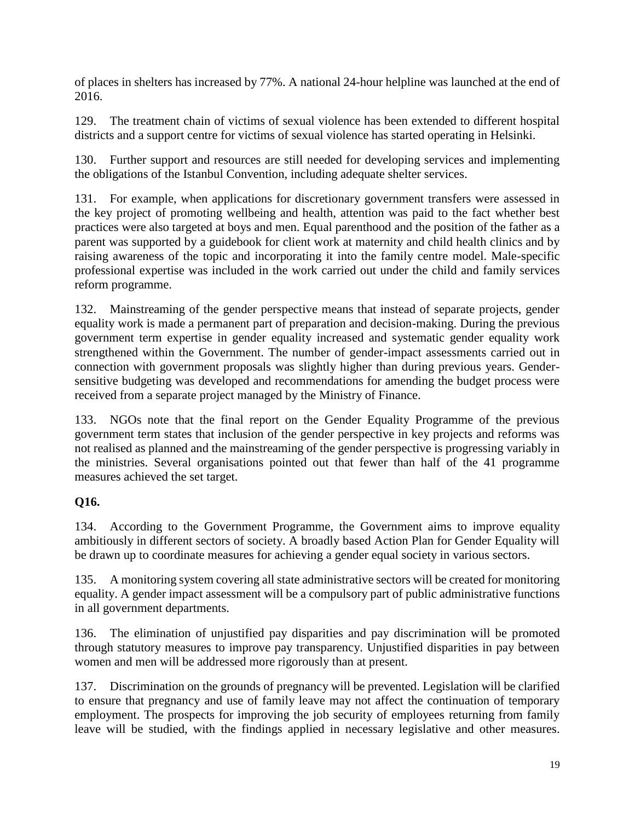of places in shelters has increased by 77%. A national 24-hour helpline was launched at the end of 2016.

129. The treatment chain of victims of sexual violence has been extended to different hospital districts and a support centre for victims of sexual violence has started operating in Helsinki.

130. Further support and resources are still needed for developing services and implementing the obligations of the Istanbul Convention, including adequate shelter services.

131. For example, when applications for discretionary government transfers were assessed in the key project of promoting wellbeing and health, attention was paid to the fact whether best practices were also targeted at boys and men. Equal parenthood and the position of the father as a parent was supported by a guidebook for client work at maternity and child health clinics and by raising awareness of the topic and incorporating it into the family centre model. Male-specific professional expertise was included in the work carried out under the child and family services reform programme.

132. Mainstreaming of the gender perspective means that instead of separate projects, gender equality work is made a permanent part of preparation and decision-making. During the previous government term expertise in gender equality increased and systematic gender equality work strengthened within the Government. The number of gender-impact assessments carried out in connection with government proposals was slightly higher than during previous years. Gendersensitive budgeting was developed and recommendations for amending the budget process were received from a separate project managed by the Ministry of Finance.

133. NGOs note that the final report on the Gender Equality Programme of the previous government term states that inclusion of the gender perspective in key projects and reforms was not realised as planned and the mainstreaming of the gender perspective is progressing variably in the ministries. Several organisations pointed out that fewer than half of the 41 programme measures achieved the set target.

### **Q16.**

134. According to the Government Programme, the Government aims to improve equality ambitiously in different sectors of society. A broadly based Action Plan for Gender Equality will be drawn up to coordinate measures for achieving a gender equal society in various sectors.

135. A monitoring system covering all state administrative sectors will be created for monitoring equality. A gender impact assessment will be a compulsory part of public administrative functions in all government departments.

136. The elimination of unjustified pay disparities and pay discrimination will be promoted through statutory measures to improve pay transparency. Unjustified disparities in pay between women and men will be addressed more rigorously than at present.

137. Discrimination on the grounds of pregnancy will be prevented. Legislation will be clarified to ensure that pregnancy and use of family leave may not affect the continuation of temporary employment. The prospects for improving the job security of employees returning from family leave will be studied, with the findings applied in necessary legislative and other measures.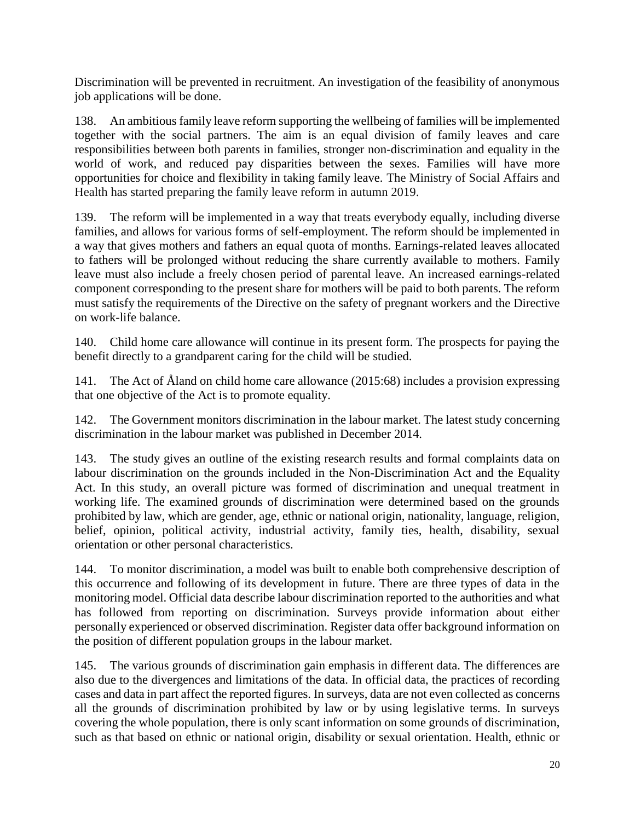Discrimination will be prevented in recruitment. An investigation of the feasibility of anonymous job applications will be done.

138. An ambitious family leave reform supporting the wellbeing of families will be implemented together with the social partners. The aim is an equal division of family leaves and care responsibilities between both parents in families, stronger non-discrimination and equality in the world of work, and reduced pay disparities between the sexes. Families will have more opportunities for choice and flexibility in taking family leave. The Ministry of Social Affairs and Health has started preparing the family leave reform in autumn 2019.

139. The reform will be implemented in a way that treats everybody equally, including diverse families, and allows for various forms of self-employment. The reform should be implemented in a way that gives mothers and fathers an equal quota of months. Earnings-related leaves allocated to fathers will be prolonged without reducing the share currently available to mothers. Family leave must also include a freely chosen period of parental leave. An increased earnings-related component corresponding to the present share for mothers will be paid to both parents. The reform must satisfy the requirements of the Directive on the safety of pregnant workers and the Directive on work-life balance.

140. Child home care allowance will continue in its present form. The prospects for paying the benefit directly to a grandparent caring for the child will be studied.

141. The Act of Åland on child home care allowance (2015:68) includes a provision expressing that one objective of the Act is to promote equality.

142. The Government monitors discrimination in the labour market. The latest study concerning discrimination in the labour market was published in December 2014.

143. The study gives an outline of the existing research results and formal complaints data on labour discrimination on the grounds included in the Non-Discrimination Act and the Equality Act. In this study, an overall picture was formed of discrimination and unequal treatment in working life. The examined grounds of discrimination were determined based on the grounds prohibited by law, which are gender, age, ethnic or national origin, nationality, language, religion, belief, opinion, political activity, industrial activity, family ties, health, disability, sexual orientation or other personal characteristics.

144. To monitor discrimination, a model was built to enable both comprehensive description of this occurrence and following of its development in future. There are three types of data in the monitoring model. Official data describe labour discrimination reported to the authorities and what has followed from reporting on discrimination. Surveys provide information about either personally experienced or observed discrimination. Register data offer background information on the position of different population groups in the labour market.

145. The various grounds of discrimination gain emphasis in different data. The differences are also due to the divergences and limitations of the data. In official data, the practices of recording cases and data in part affect the reported figures. In surveys, data are not even collected as concerns all the grounds of discrimination prohibited by law or by using legislative terms. In surveys covering the whole population, there is only scant information on some grounds of discrimination, such as that based on ethnic or national origin, disability or sexual orientation. Health, ethnic or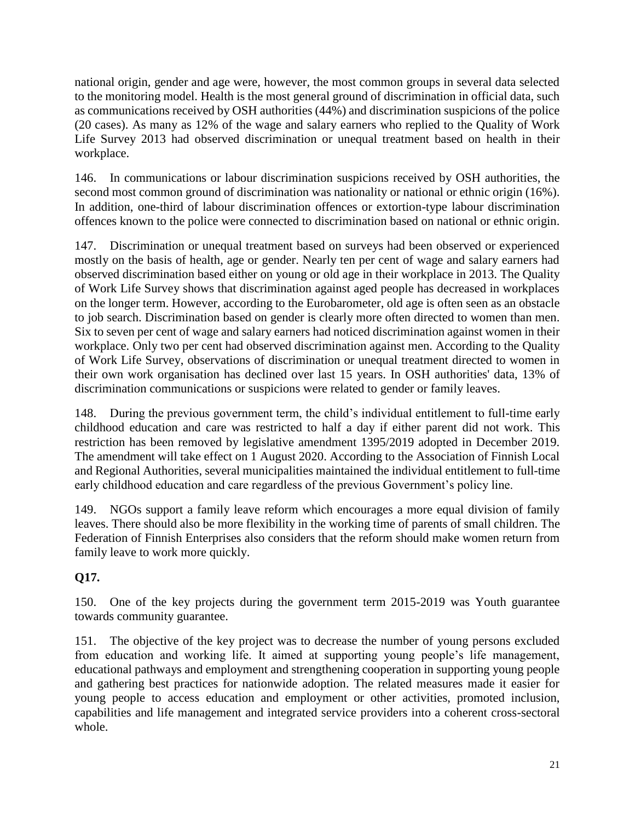national origin, gender and age were, however, the most common groups in several data selected to the monitoring model. Health is the most general ground of discrimination in official data, such as communications received by OSH authorities (44%) and discrimination suspicions of the police (20 cases). As many as 12% of the wage and salary earners who replied to the Quality of Work Life Survey 2013 had observed discrimination or unequal treatment based on health in their workplace.

146. In communications or labour discrimination suspicions received by OSH authorities, the second most common ground of discrimination was nationality or national or ethnic origin (16%). In addition, one-third of labour discrimination offences or extortion-type labour discrimination offences known to the police were connected to discrimination based on national or ethnic origin.

147. Discrimination or unequal treatment based on surveys had been observed or experienced mostly on the basis of health, age or gender. Nearly ten per cent of wage and salary earners had observed discrimination based either on young or old age in their workplace in 2013. The Quality of Work Life Survey shows that discrimination against aged people has decreased in workplaces on the longer term. However, according to the Eurobarometer, old age is often seen as an obstacle to job search. Discrimination based on gender is clearly more often directed to women than men. Six to seven per cent of wage and salary earners had noticed discrimination against women in their workplace. Only two per cent had observed discrimination against men. According to the Quality of Work Life Survey, observations of discrimination or unequal treatment directed to women in their own work organisation has declined over last 15 years. In OSH authorities' data, 13% of discrimination communications or suspicions were related to gender or family leaves.

148. During the previous government term, the child's individual entitlement to full-time early childhood education and care was restricted to half a day if either parent did not work. This restriction has been removed by legislative amendment 1395/2019 adopted in December 2019. The amendment will take effect on 1 August 2020. According to the Association of Finnish Local and Regional Authorities, several municipalities maintained the individual entitlement to full-time early childhood education and care regardless of the previous Government's policy line.

149. NGOs support a family leave reform which encourages a more equal division of family leaves. There should also be more flexibility in the working time of parents of small children. The Federation of Finnish Enterprises also considers that the reform should make women return from family leave to work more quickly.

### **Q17.**

150. One of the key projects during the government term 2015-2019 was Youth guarantee towards community guarantee.

151. The objective of the key project was to decrease the number of young persons excluded from education and working life. It aimed at supporting young people's life management, educational pathways and employment and strengthening cooperation in supporting young people and gathering best practices for nationwide adoption. The related measures made it easier for young people to access education and employment or other activities, promoted inclusion, capabilities and life management and integrated service providers into a coherent cross-sectoral whole.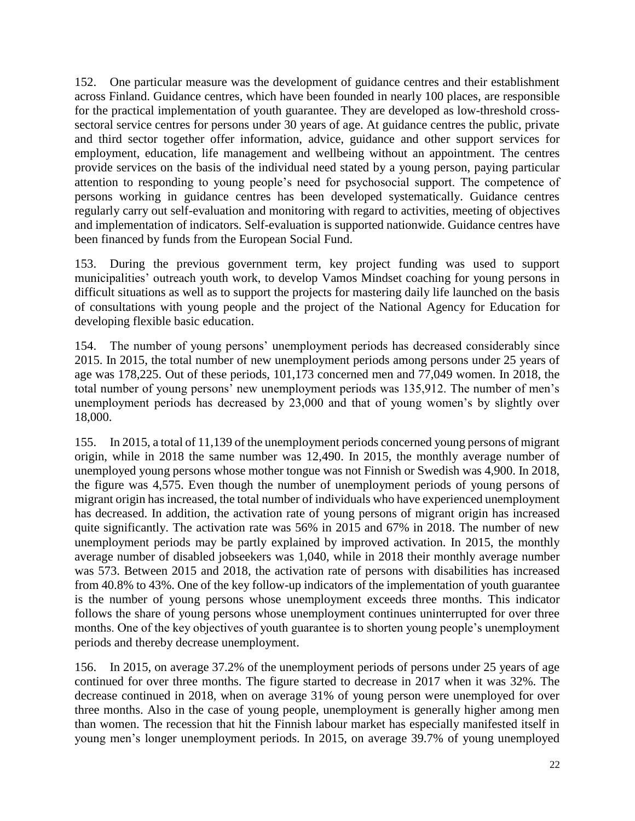152. One particular measure was the development of guidance centres and their establishment across Finland. Guidance centres, which have been founded in nearly 100 places, are responsible for the practical implementation of youth guarantee. They are developed as low-threshold crosssectoral service centres for persons under 30 years of age. At guidance centres the public, private and third sector together offer information, advice, guidance and other support services for employment, education, life management and wellbeing without an appointment. The centres provide services on the basis of the individual need stated by a young person, paying particular attention to responding to young people's need for psychosocial support. The competence of persons working in guidance centres has been developed systematically. Guidance centres regularly carry out self-evaluation and monitoring with regard to activities, meeting of objectives and implementation of indicators. Self-evaluation is supported nationwide. Guidance centres have been financed by funds from the European Social Fund.

153. During the previous government term, key project funding was used to support municipalities' outreach youth work, to develop Vamos Mindset coaching for young persons in difficult situations as well as to support the projects for mastering daily life launched on the basis of consultations with young people and the project of the National Agency for Education for developing flexible basic education.

154. The number of young persons' unemployment periods has decreased considerably since 2015. In 2015, the total number of new unemployment periods among persons under 25 years of age was 178,225. Out of these periods, 101,173 concerned men and 77,049 women. In 2018, the total number of young persons' new unemployment periods was 135,912. The number of men's unemployment periods has decreased by 23,000 and that of young women's by slightly over 18,000.

155. In 2015, a total of 11,139 of the unemployment periods concerned young persons of migrant origin, while in 2018 the same number was 12,490. In 2015, the monthly average number of unemployed young persons whose mother tongue was not Finnish or Swedish was 4,900. In 2018, the figure was 4,575. Even though the number of unemployment periods of young persons of migrant origin has increased, the total number of individuals who have experienced unemployment has decreased. In addition, the activation rate of young persons of migrant origin has increased quite significantly. The activation rate was 56% in 2015 and 67% in 2018. The number of new unemployment periods may be partly explained by improved activation. In 2015, the monthly average number of disabled jobseekers was 1,040, while in 2018 their monthly average number was 573. Between 2015 and 2018, the activation rate of persons with disabilities has increased from 40.8% to 43%. One of the key follow-up indicators of the implementation of youth guarantee is the number of young persons whose unemployment exceeds three months. This indicator follows the share of young persons whose unemployment continues uninterrupted for over three months. One of the key objectives of youth guarantee is to shorten young people's unemployment periods and thereby decrease unemployment.

156. In 2015, on average 37.2% of the unemployment periods of persons under 25 years of age continued for over three months. The figure started to decrease in 2017 when it was 32%. The decrease continued in 2018, when on average 31% of young person were unemployed for over three months. Also in the case of young people, unemployment is generally higher among men than women. The recession that hit the Finnish labour market has especially manifested itself in young men's longer unemployment periods. In 2015, on average 39.7% of young unemployed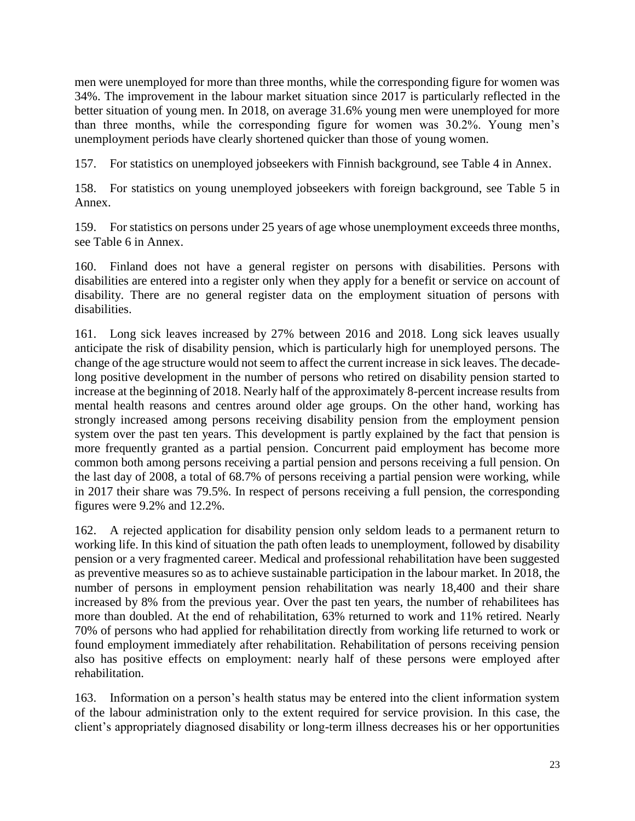men were unemployed for more than three months, while the corresponding figure for women was 34%. The improvement in the labour market situation since 2017 is particularly reflected in the better situation of young men. In 2018, on average 31.6% young men were unemployed for more than three months, while the corresponding figure for women was 30.2%. Young men's unemployment periods have clearly shortened quicker than those of young women.

157. For statistics on unemployed jobseekers with Finnish background, see Table 4 in Annex.

158. For statistics on young unemployed jobseekers with foreign background, see Table 5 in Annex.

159. For statistics on persons under 25 years of age whose unemployment exceeds three months, see Table 6 in Annex.

160. Finland does not have a general register on persons with disabilities. Persons with disabilities are entered into a register only when they apply for a benefit or service on account of disability. There are no general register data on the employment situation of persons with disabilities.

161. Long sick leaves increased by 27% between 2016 and 2018. Long sick leaves usually anticipate the risk of disability pension, which is particularly high for unemployed persons. The change of the age structure would not seem to affect the current increase in sick leaves. The decadelong positive development in the number of persons who retired on disability pension started to increase at the beginning of 2018. Nearly half of the approximately 8-percent increase results from mental health reasons and centres around older age groups. On the other hand, working has strongly increased among persons receiving disability pension from the employment pension system over the past ten years. This development is partly explained by the fact that pension is more frequently granted as a partial pension. Concurrent paid employment has become more common both among persons receiving a partial pension and persons receiving a full pension. On the last day of 2008, a total of 68.7% of persons receiving a partial pension were working, while in 2017 their share was 79.5%. In respect of persons receiving a full pension, the corresponding figures were 9.2% and 12.2%.

162. A rejected application for disability pension only seldom leads to a permanent return to working life. In this kind of situation the path often leads to unemployment, followed by disability pension or a very fragmented career. Medical and professional rehabilitation have been suggested as preventive measures so as to achieve sustainable participation in the labour market. In 2018, the number of persons in employment pension rehabilitation was nearly 18,400 and their share increased by 8% from the previous year. Over the past ten years, the number of rehabilitees has more than doubled. At the end of rehabilitation, 63% returned to work and 11% retired. Nearly 70% of persons who had applied for rehabilitation directly from working life returned to work or found employment immediately after rehabilitation. Rehabilitation of persons receiving pension also has positive effects on employment: nearly half of these persons were employed after rehabilitation.

163. Information on a person's health status may be entered into the client information system of the labour administration only to the extent required for service provision. In this case, the client's appropriately diagnosed disability or long-term illness decreases his or her opportunities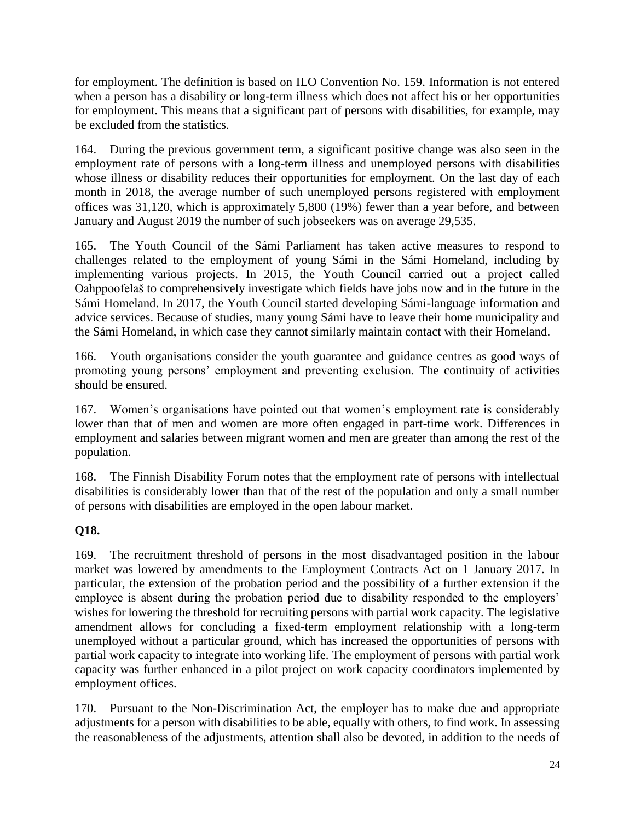for employment. The definition is based on ILO Convention No. 159. Information is not entered when a person has a disability or long-term illness which does not affect his or her opportunities for employment. This means that a significant part of persons with disabilities, for example, may be excluded from the statistics.

164. During the previous government term, a significant positive change was also seen in the employment rate of persons with a long-term illness and unemployed persons with disabilities whose illness or disability reduces their opportunities for employment. On the last day of each month in 2018, the average number of such unemployed persons registered with employment offices was 31,120, which is approximately 5,800 (19%) fewer than a year before, and between January and August 2019 the number of such jobseekers was on average 29,535.

165. The Youth Council of the Sámi Parliament has taken active measures to respond to challenges related to the employment of young Sámi in the Sámi Homeland, including by implementing various projects. In 2015, the Youth Council carried out a project called Oahppoofelaš to comprehensively investigate which fields have jobs now and in the future in the Sámi Homeland. In 2017, the Youth Council started developing Sámi-language information and advice services. Because of studies, many young Sámi have to leave their home municipality and the Sámi Homeland, in which case they cannot similarly maintain contact with their Homeland.

166. Youth organisations consider the youth guarantee and guidance centres as good ways of promoting young persons' employment and preventing exclusion. The continuity of activities should be ensured.

167. Women's organisations have pointed out that women's employment rate is considerably lower than that of men and women are more often engaged in part-time work. Differences in employment and salaries between migrant women and men are greater than among the rest of the population.

168. The Finnish Disability Forum notes that the employment rate of persons with intellectual disabilities is considerably lower than that of the rest of the population and only a small number of persons with disabilities are employed in the open labour market.

### **Q18.**

169. The recruitment threshold of persons in the most disadvantaged position in the labour market was lowered by amendments to the Employment Contracts Act on 1 January 2017. In particular, the extension of the probation period and the possibility of a further extension if the employee is absent during the probation period due to disability responded to the employers' wishes for lowering the threshold for recruiting persons with partial work capacity. The legislative amendment allows for concluding a fixed-term employment relationship with a long-term unemployed without a particular ground, which has increased the opportunities of persons with partial work capacity to integrate into working life. The employment of persons with partial work capacity was further enhanced in a pilot project on work capacity coordinators implemented by employment offices.

170. Pursuant to the Non-Discrimination Act, the employer has to make due and appropriate adjustments for a person with disabilities to be able, equally with others, to find work. In assessing the reasonableness of the adjustments, attention shall also be devoted, in addition to the needs of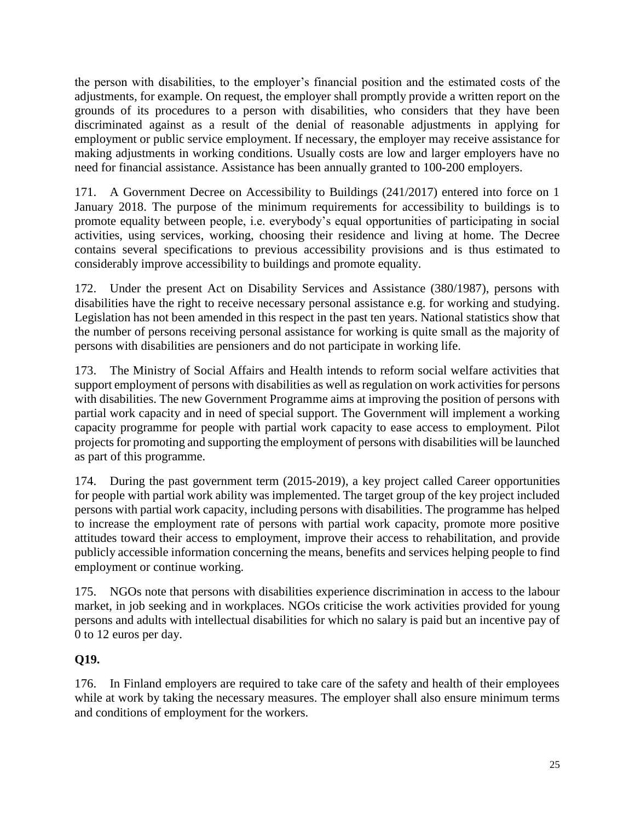the person with disabilities, to the employer's financial position and the estimated costs of the adjustments, for example. On request, the employer shall promptly provide a written report on the grounds of its procedures to a person with disabilities, who considers that they have been discriminated against as a result of the denial of reasonable adjustments in applying for employment or public service employment. If necessary, the employer may receive assistance for making adjustments in working conditions. Usually costs are low and larger employers have no need for financial assistance. Assistance has been annually granted to 100-200 employers.

171. A Government Decree on Accessibility to Buildings (241/2017) entered into force on 1 January 2018. The purpose of the minimum requirements for accessibility to buildings is to promote equality between people, i.e. everybody's equal opportunities of participating in social activities, using services, working, choosing their residence and living at home. The Decree contains several specifications to previous accessibility provisions and is thus estimated to considerably improve accessibility to buildings and promote equality.

172. Under the present Act on Disability Services and Assistance (380/1987), persons with disabilities have the right to receive necessary personal assistance e.g. for working and studying. Legislation has not been amended in this respect in the past ten years. National statistics show that the number of persons receiving personal assistance for working is quite small as the majority of persons with disabilities are pensioners and do not participate in working life.

173. The Ministry of Social Affairs and Health intends to reform social welfare activities that support employment of persons with disabilities as well as regulation on work activities for persons with disabilities. The new Government Programme aims at improving the position of persons with partial work capacity and in need of special support. The Government will implement a working capacity programme for people with partial work capacity to ease access to employment. Pilot projects for promoting and supporting the employment of persons with disabilities will be launched as part of this programme.

174. During the past government term (2015-2019), a key project called Career opportunities for people with partial work ability was implemented. The target group of the key project included persons with partial work capacity, including persons with disabilities. The programme has helped to increase the employment rate of persons with partial work capacity, promote more positive attitudes toward their access to employment, improve their access to rehabilitation, and provide publicly accessible information concerning the means, benefits and services helping people to find employment or continue working.

175. NGOs note that persons with disabilities experience discrimination in access to the labour market, in job seeking and in workplaces. NGOs criticise the work activities provided for young persons and adults with intellectual disabilities for which no salary is paid but an incentive pay of 0 to 12 euros per day.

### **Q19.**

176. In Finland employers are required to take care of the safety and health of their employees while at work by taking the necessary measures. The employer shall also ensure minimum terms and conditions of employment for the workers.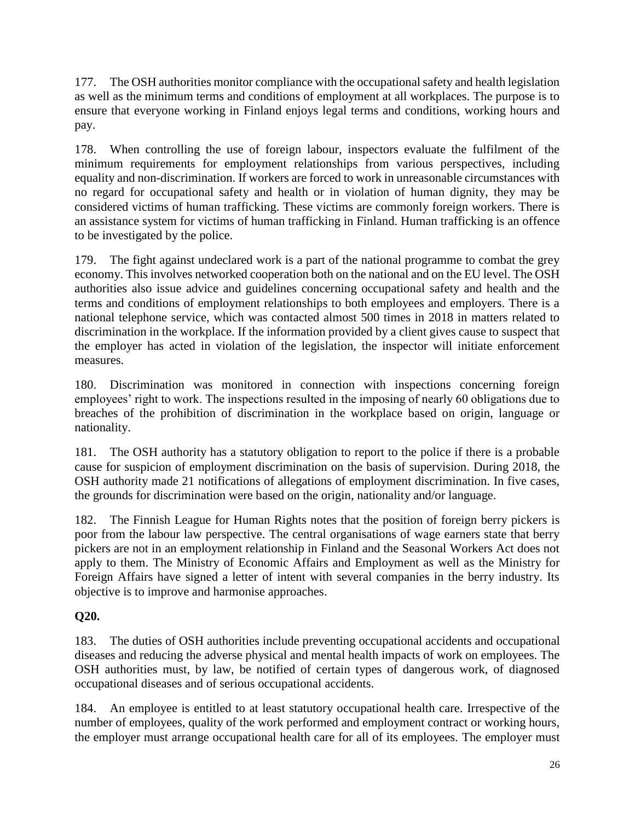177. The OSH authorities monitor compliance with the occupational safety and health legislation as well as the minimum terms and conditions of employment at all workplaces. The purpose is to ensure that everyone working in Finland enjoys legal terms and conditions, working hours and pay.

178. When controlling the use of foreign labour, inspectors evaluate the fulfilment of the minimum requirements for employment relationships from various perspectives, including equality and non-discrimination. If workers are forced to work in unreasonable circumstances with no regard for occupational safety and health or in violation of human dignity, they may be considered victims of human trafficking. These victims are commonly foreign workers. There is an assistance system for victims of human trafficking in Finland. Human trafficking is an offence to be investigated by the police.

179. The fight against undeclared work is a part of the national programme to combat the grey economy. This involves networked cooperation both on the national and on the EU level. The OSH authorities also issue advice and guidelines concerning occupational safety and health and the terms and conditions of employment relationships to both employees and employers. There is a national telephone service, which was contacted almost 500 times in 2018 in matters related to discrimination in the workplace. If the information provided by a client gives cause to suspect that the employer has acted in violation of the legislation, the inspector will initiate enforcement measures.

180. Discrimination was monitored in connection with inspections concerning foreign employees' right to work. The inspections resulted in the imposing of nearly 60 obligations due to breaches of the prohibition of discrimination in the workplace based on origin, language or nationality.

181. The OSH authority has a statutory obligation to report to the police if there is a probable cause for suspicion of employment discrimination on the basis of supervision. During 2018, the OSH authority made 21 notifications of allegations of employment discrimination. In five cases, the grounds for discrimination were based on the origin, nationality and/or language.

182. The Finnish League for Human Rights notes that the position of foreign berry pickers is poor from the labour law perspective. The central organisations of wage earners state that berry pickers are not in an employment relationship in Finland and the Seasonal Workers Act does not apply to them. The Ministry of Economic Affairs and Employment as well as the Ministry for Foreign Affairs have signed a letter of intent with several companies in the berry industry. Its objective is to improve and harmonise approaches.

### **Q20.**

183. The duties of OSH authorities include preventing occupational accidents and occupational diseases and reducing the adverse physical and mental health impacts of work on employees. The OSH authorities must, by law, be notified of certain types of dangerous work, of diagnosed occupational diseases and of serious occupational accidents.

184. An employee is entitled to at least statutory occupational health care. Irrespective of the number of employees, quality of the work performed and employment contract or working hours, the employer must arrange occupational health care for all of its employees. The employer must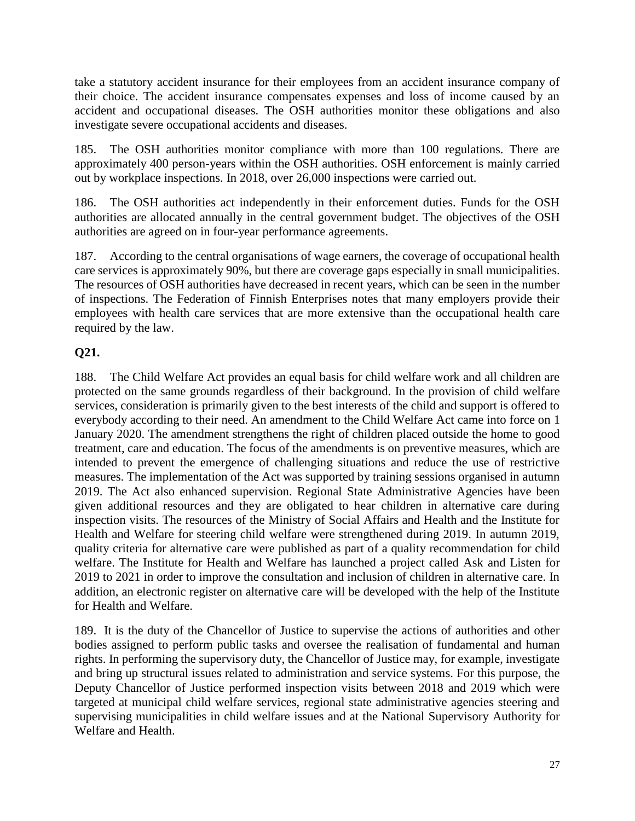take a statutory accident insurance for their employees from an accident insurance company of their choice. The accident insurance compensates expenses and loss of income caused by an accident and occupational diseases. The OSH authorities monitor these obligations and also investigate severe occupational accidents and diseases.

185. The OSH authorities monitor compliance with more than 100 regulations. There are approximately 400 person-years within the OSH authorities. OSH enforcement is mainly carried out by workplace inspections. In 2018, over 26,000 inspections were carried out.

186. The OSH authorities act independently in their enforcement duties. Funds for the OSH authorities are allocated annually in the central government budget. The objectives of the OSH authorities are agreed on in four-year performance agreements.

187. According to the central organisations of wage earners, the coverage of occupational health care services is approximately 90%, but there are coverage gaps especially in small municipalities. The resources of OSH authorities have decreased in recent years, which can be seen in the number of inspections. The Federation of Finnish Enterprises notes that many employers provide their employees with health care services that are more extensive than the occupational health care required by the law.

#### **Q21.**

188. The Child Welfare Act provides an equal basis for child welfare work and all children are protected on the same grounds regardless of their background. In the provision of child welfare services, consideration is primarily given to the best interests of the child and support is offered to everybody according to their need. An amendment to the Child Welfare Act came into force on 1 January 2020. The amendment strengthens the right of children placed outside the home to good treatment, care and education. The focus of the amendments is on preventive measures, which are intended to prevent the emergence of challenging situations and reduce the use of restrictive measures. The implementation of the Act was supported by training sessions organised in autumn 2019. The Act also enhanced supervision. Regional State Administrative Agencies have been given additional resources and they are obligated to hear children in alternative care during inspection visits. The resources of the Ministry of Social Affairs and Health and the Institute for Health and Welfare for steering child welfare were strengthened during 2019. In autumn 2019, quality criteria for alternative care were published as part of a quality recommendation for child welfare. The Institute for Health and Welfare has launched a project called Ask and Listen for 2019 to 2021 in order to improve the consultation and inclusion of children in alternative care. In addition, an electronic register on alternative care will be developed with the help of the Institute for Health and Welfare.

189. It is the duty of the Chancellor of Justice to supervise the actions of authorities and other bodies assigned to perform public tasks and oversee the realisation of fundamental and human rights. In performing the supervisory duty, the Chancellor of Justice may, for example, investigate and bring up structural issues related to administration and service systems. For this purpose, the Deputy Chancellor of Justice performed inspection visits between 2018 and 2019 which were targeted at municipal child welfare services, regional state administrative agencies steering and supervising municipalities in child welfare issues and at the National Supervisory Authority for Welfare and Health.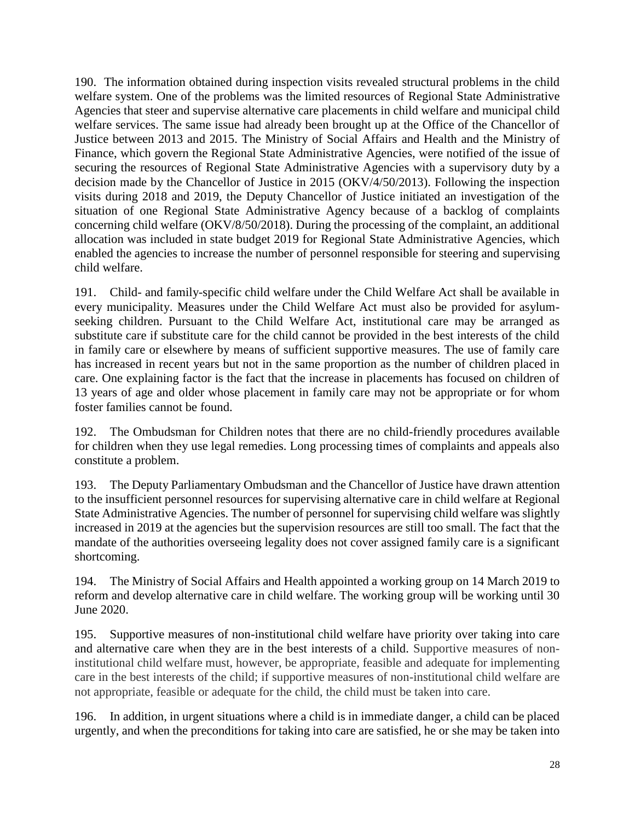190. The information obtained during inspection visits revealed structural problems in the child welfare system. One of the problems was the limited resources of Regional State Administrative Agencies that steer and supervise alternative care placements in child welfare and municipal child welfare services. The same issue had already been brought up at the Office of the Chancellor of Justice between 2013 and 2015. The Ministry of Social Affairs and Health and the Ministry of Finance, which govern the Regional State Administrative Agencies, were notified of the issue of securing the resources of Regional State Administrative Agencies with a supervisory duty by a decision made by the Chancellor of Justice in 2015 (OKV/4/50/2013). Following the inspection visits during 2018 and 2019, the Deputy Chancellor of Justice initiated an investigation of the situation of one Regional State Administrative Agency because of a backlog of complaints concerning child welfare (OKV/8/50/2018). During the processing of the complaint, an additional allocation was included in state budget 2019 for Regional State Administrative Agencies, which enabled the agencies to increase the number of personnel responsible for steering and supervising child welfare.

191. Child- and family-specific child welfare under the Child Welfare Act shall be available in every municipality. Measures under the Child Welfare Act must also be provided for asylumseeking children. Pursuant to the Child Welfare Act, institutional care may be arranged as substitute care if substitute care for the child cannot be provided in the best interests of the child in family care or elsewhere by means of sufficient supportive measures. The use of family care has increased in recent years but not in the same proportion as the number of children placed in care. One explaining factor is the fact that the increase in placements has focused on children of 13 years of age and older whose placement in family care may not be appropriate or for whom foster families cannot be found.

192. The Ombudsman for Children notes that there are no child-friendly procedures available for children when they use legal remedies. Long processing times of complaints and appeals also constitute a problem.

193. The Deputy Parliamentary Ombudsman and the Chancellor of Justice have drawn attention to the insufficient personnel resources for supervising alternative care in child welfare at Regional State Administrative Agencies. The number of personnel for supervising child welfare was slightly increased in 2019 at the agencies but the supervision resources are still too small. The fact that the mandate of the authorities overseeing legality does not cover assigned family care is a significant shortcoming.

194. The Ministry of Social Affairs and Health appointed a working group on 14 March 2019 to reform and develop alternative care in child welfare. The working group will be working until 30 June 2020.

195. Supportive measures of non-institutional child welfare have priority over taking into care and alternative care when they are in the best interests of a child. Supportive measures of noninstitutional child welfare must, however, be appropriate, feasible and adequate for implementing care in the best interests of the child; if supportive measures of non-institutional child welfare are not appropriate, feasible or adequate for the child, the child must be taken into care.

196. In addition, in urgent situations where a child is in immediate danger, a child can be placed urgently, and when the preconditions for taking into care are satisfied, he or she may be taken into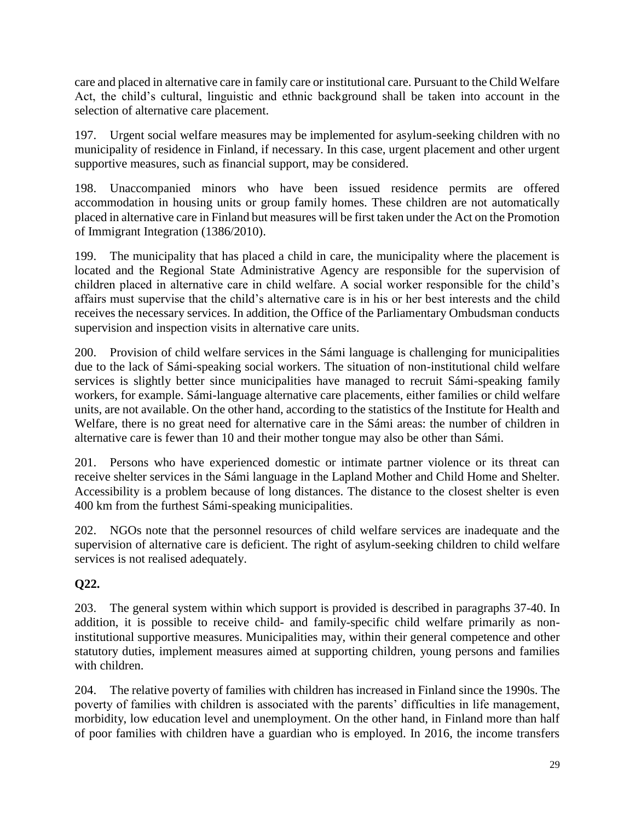care and placed in alternative care in family care or institutional care. Pursuant to the Child Welfare Act, the child's cultural, linguistic and ethnic background shall be taken into account in the selection of alternative care placement.

197. Urgent social welfare measures may be implemented for asylum-seeking children with no municipality of residence in Finland, if necessary. In this case, urgent placement and other urgent supportive measures, such as financial support, may be considered.

198. Unaccompanied minors who have been issued residence permits are offered accommodation in housing units or group family homes. These children are not automatically placed in alternative care in Finland but measures will be first taken under the Act on the Promotion of Immigrant Integration (1386/2010).

199. The municipality that has placed a child in care, the municipality where the placement is located and the Regional State Administrative Agency are responsible for the supervision of children placed in alternative care in child welfare. A social worker responsible for the child's affairs must supervise that the child's alternative care is in his or her best interests and the child receives the necessary services. In addition, the Office of the Parliamentary Ombudsman conducts supervision and inspection visits in alternative care units.

200. Provision of child welfare services in the Sámi language is challenging for municipalities due to the lack of Sámi-speaking social workers. The situation of non-institutional child welfare services is slightly better since municipalities have managed to recruit Sámi-speaking family workers, for example. Sámi-language alternative care placements, either families or child welfare units, are not available. On the other hand, according to the statistics of the Institute for Health and Welfare, there is no great need for alternative care in the Sámi areas: the number of children in alternative care is fewer than 10 and their mother tongue may also be other than Sámi.

201. Persons who have experienced domestic or intimate partner violence or its threat can receive shelter services in the Sámi language in the Lapland Mother and Child Home and Shelter. Accessibility is a problem because of long distances. The distance to the closest shelter is even 400 km from the furthest Sámi-speaking municipalities.

202. NGOs note that the personnel resources of child welfare services are inadequate and the supervision of alternative care is deficient. The right of asylum-seeking children to child welfare services is not realised adequately.

### **Q22.**

203. The general system within which support is provided is described in paragraphs 37-40. In addition, it is possible to receive child- and family-specific child welfare primarily as noninstitutional supportive measures. Municipalities may, within their general competence and other statutory duties, implement measures aimed at supporting children, young persons and families with children.

204. The relative poverty of families with children has increased in Finland since the 1990s. The poverty of families with children is associated with the parents' difficulties in life management, morbidity, low education level and unemployment. On the other hand, in Finland more than half of poor families with children have a guardian who is employed. In 2016, the income transfers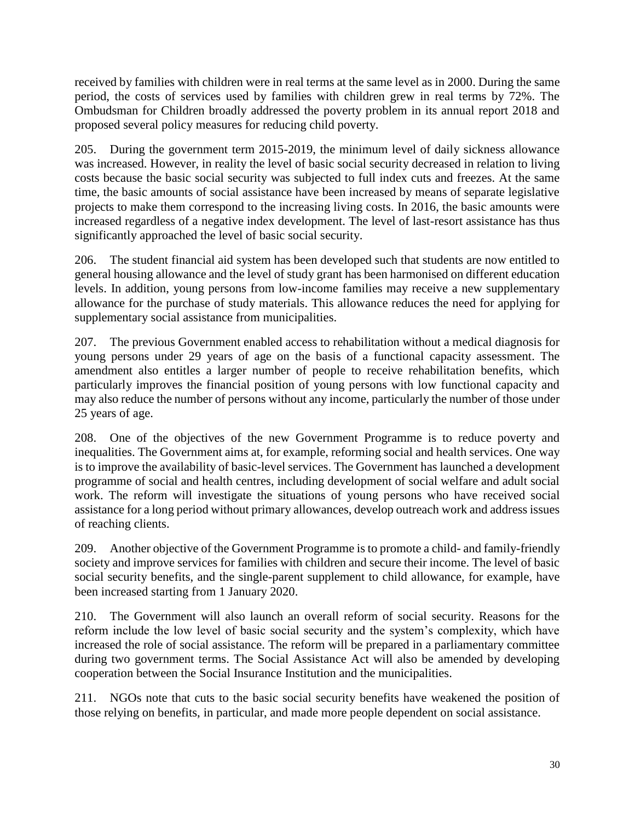received by families with children were in real terms at the same level as in 2000. During the same period, the costs of services used by families with children grew in real terms by 72%. The Ombudsman for Children broadly addressed the poverty problem in its annual report 2018 and proposed several policy measures for reducing child poverty.

205. During the government term 2015-2019, the minimum level of daily sickness allowance was increased. However, in reality the level of basic social security decreased in relation to living costs because the basic social security was subjected to full index cuts and freezes. At the same time, the basic amounts of social assistance have been increased by means of separate legislative projects to make them correspond to the increasing living costs. In 2016, the basic amounts were increased regardless of a negative index development. The level of last-resort assistance has thus significantly approached the level of basic social security.

206. The student financial aid system has been developed such that students are now entitled to general housing allowance and the level of study grant has been harmonised on different education levels. In addition, young persons from low-income families may receive a new supplementary allowance for the purchase of study materials. This allowance reduces the need for applying for supplementary social assistance from municipalities.

207. The previous Government enabled access to rehabilitation without a medical diagnosis for young persons under 29 years of age on the basis of a functional capacity assessment. The amendment also entitles a larger number of people to receive rehabilitation benefits, which particularly improves the financial position of young persons with low functional capacity and may also reduce the number of persons without any income, particularly the number of those under 25 years of age.

208. One of the objectives of the new Government Programme is to reduce poverty and inequalities. The Government aims at, for example, reforming social and health services. One way is to improve the availability of basic-level services. The Government has launched a development programme of social and health centres, including development of social welfare and adult social work. The reform will investigate the situations of young persons who have received social assistance for a long period without primary allowances, develop outreach work and address issues of reaching clients.

209. Another objective of the Government Programme is to promote a child- and family-friendly society and improve services for families with children and secure their income. The level of basic social security benefits, and the single-parent supplement to child allowance, for example, have been increased starting from 1 January 2020.

210. The Government will also launch an overall reform of social security. Reasons for the reform include the low level of basic social security and the system's complexity, which have increased the role of social assistance. The reform will be prepared in a parliamentary committee during two government terms. The Social Assistance Act will also be amended by developing cooperation between the Social Insurance Institution and the municipalities.

211. NGOs note that cuts to the basic social security benefits have weakened the position of those relying on benefits, in particular, and made more people dependent on social assistance.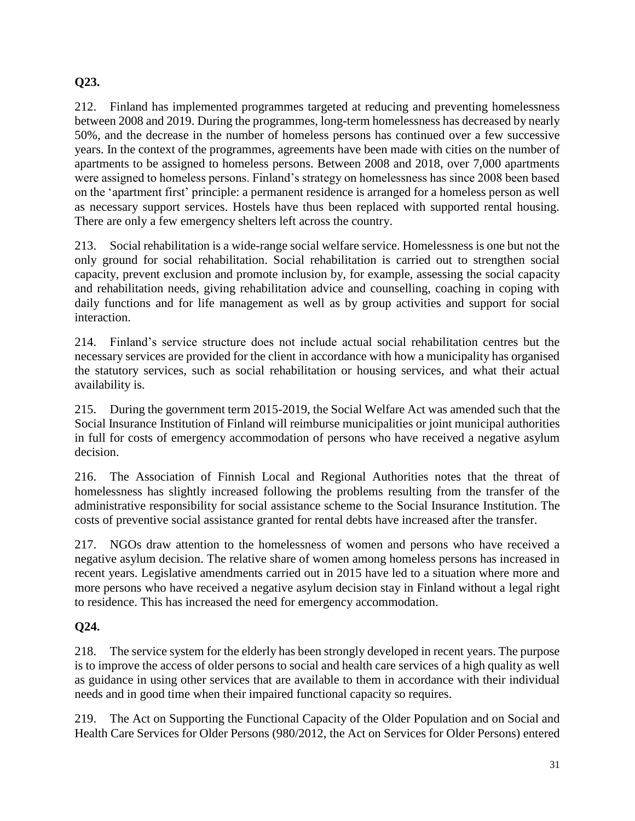### **Q23.**

212. Finland has implemented programmes targeted at reducing and preventing homelessness between 2008 and 2019. During the programmes, long-term homelessness has decreased by nearly 50%, and the decrease in the number of homeless persons has continued over a few successive years. In the context of the programmes, agreements have been made with cities on the number of apartments to be assigned to homeless persons. Between 2008 and 2018, over 7,000 apartments were assigned to homeless persons. Finland's strategy on homelessness has since 2008 been based on the 'apartment first' principle: a permanent residence is arranged for a homeless person as well as necessary support services. Hostels have thus been replaced with supported rental housing. There are only a few emergency shelters left across the country.

213. Social rehabilitation is a wide-range social welfare service. Homelessness is one but not the only ground for social rehabilitation. Social rehabilitation is carried out to strengthen social capacity, prevent exclusion and promote inclusion by, for example, assessing the social capacity and rehabilitation needs, giving rehabilitation advice and counselling, coaching in coping with daily functions and for life management as well as by group activities and support for social interaction.

214. Finland's service structure does not include actual social rehabilitation centres but the necessary services are provided for the client in accordance with how a municipality has organised the statutory services, such as social rehabilitation or housing services, and what their actual availability is.

215. During the government term 2015-2019, the Social Welfare Act was amended such that the Social Insurance Institution of Finland will reimburse municipalities or joint municipal authorities in full for costs of emergency accommodation of persons who have received a negative asylum decision.

216. The Association of Finnish Local and Regional Authorities notes that the threat of homelessness has slightly increased following the problems resulting from the transfer of the administrative responsibility for social assistance scheme to the Social Insurance Institution. The costs of preventive social assistance granted for rental debts have increased after the transfer.

217. NGOs draw attention to the homelessness of women and persons who have received a negative asylum decision. The relative share of women among homeless persons has increased in recent years. Legislative amendments carried out in 2015 have led to a situation where more and more persons who have received a negative asylum decision stay in Finland without a legal right to residence. This has increased the need for emergency accommodation.

### **Q24.**

218. The service system for the elderly has been strongly developed in recent years. The purpose is to improve the access of older persons to social and health care services of a high quality as well as guidance in using other services that are available to them in accordance with their individual needs and in good time when their impaired functional capacity so requires.

219. The Act on Supporting the Functional Capacity of the Older Population and on Social and Health Care Services for Older Persons (980/2012, the Act on Services for Older Persons) entered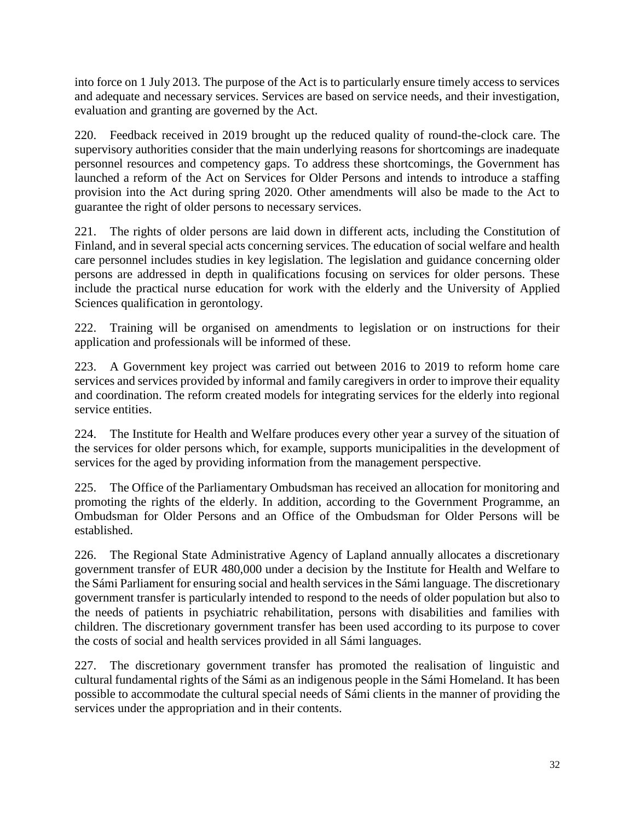into force on 1 July 2013. The purpose of the Act is to particularly ensure timely access to services and adequate and necessary services. Services are based on service needs, and their investigation, evaluation and granting are governed by the Act.

220. Feedback received in 2019 brought up the reduced quality of round-the-clock care. The supervisory authorities consider that the main underlying reasons for shortcomings are inadequate personnel resources and competency gaps. To address these shortcomings, the Government has launched a reform of the Act on Services for Older Persons and intends to introduce a staffing provision into the Act during spring 2020. Other amendments will also be made to the Act to guarantee the right of older persons to necessary services.

221. The rights of older persons are laid down in different acts, including the Constitution of Finland, and in several special acts concerning services. The education of social welfare and health care personnel includes studies in key legislation. The legislation and guidance concerning older persons are addressed in depth in qualifications focusing on services for older persons. These include the practical nurse education for work with the elderly and the University of Applied Sciences qualification in gerontology.

222. Training will be organised on amendments to legislation or on instructions for their application and professionals will be informed of these.

223. A Government key project was carried out between 2016 to 2019 to reform home care services and services provided by informal and family caregivers in order to improve their equality and coordination. The reform created models for integrating services for the elderly into regional service entities.

224. The Institute for Health and Welfare produces every other year a survey of the situation of the services for older persons which, for example, supports municipalities in the development of services for the aged by providing information from the management perspective.

225. The Office of the Parliamentary Ombudsman has received an allocation for monitoring and promoting the rights of the elderly. In addition, according to the Government Programme, an Ombudsman for Older Persons and an Office of the Ombudsman for Older Persons will be established.

226. The Regional State Administrative Agency of Lapland annually allocates a discretionary government transfer of EUR 480,000 under a decision by the Institute for Health and Welfare to the Sámi Parliament for ensuring social and health services in the Sámi language. The discretionary government transfer is particularly intended to respond to the needs of older population but also to the needs of patients in psychiatric rehabilitation, persons with disabilities and families with children. The discretionary government transfer has been used according to its purpose to cover the costs of social and health services provided in all Sámi languages.

227. The discretionary government transfer has promoted the realisation of linguistic and cultural fundamental rights of the Sámi as an indigenous people in the Sámi Homeland. It has been possible to accommodate the cultural special needs of Sámi clients in the manner of providing the services under the appropriation and in their contents.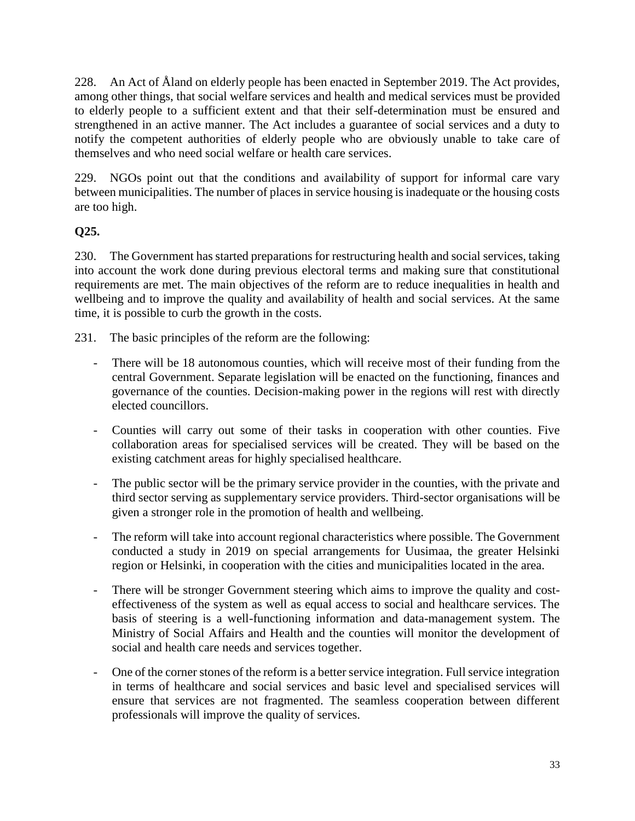228. An Act of Åland on elderly people has been enacted in September 2019. The Act provides, among other things, that social welfare services and health and medical services must be provided to elderly people to a sufficient extent and that their self-determination must be ensured and strengthened in an active manner. The Act includes a guarantee of social services and a duty to notify the competent authorities of elderly people who are obviously unable to take care of themselves and who need social welfare or health care services.

229. NGOs point out that the conditions and availability of support for informal care vary between municipalities. The number of places in service housing is inadequate or the housing costs are too high.

### **Q25.**

230. The Government has started preparations for restructuring health and social services, taking into account the work done during previous electoral terms and making sure that constitutional requirements are met. The main objectives of the reform are to reduce inequalities in health and wellbeing and to improve the quality and availability of health and social services. At the same time, it is possible to curb the growth in the costs.

231. The basic principles of the reform are the following:

- There will be 18 autonomous counties, which will receive most of their funding from the central Government. Separate legislation will be enacted on the functioning, finances and governance of the counties. Decision-making power in the regions will rest with directly elected councillors.
- Counties will carry out some of their tasks in cooperation with other counties. Five collaboration areas for specialised services will be created. They will be based on the existing catchment areas for highly specialised healthcare.
- The public sector will be the primary service provider in the counties, with the private and third sector serving as supplementary service providers. Third-sector organisations will be given a stronger role in the promotion of health and wellbeing.
- The reform will take into account regional characteristics where possible. The Government conducted a study in 2019 on special arrangements for Uusimaa, the greater Helsinki region or Helsinki, in cooperation with the cities and municipalities located in the area.
- There will be stronger Government steering which aims to improve the quality and costeffectiveness of the system as well as equal access to social and healthcare services. The basis of steering is a well-functioning information and data-management system. The Ministry of Social Affairs and Health and the counties will monitor the development of social and health care needs and services together.
- One of the corner stones of the reform is a better service integration. Full service integration in terms of healthcare and social services and basic level and specialised services will ensure that services are not fragmented. The seamless cooperation between different professionals will improve the quality of services.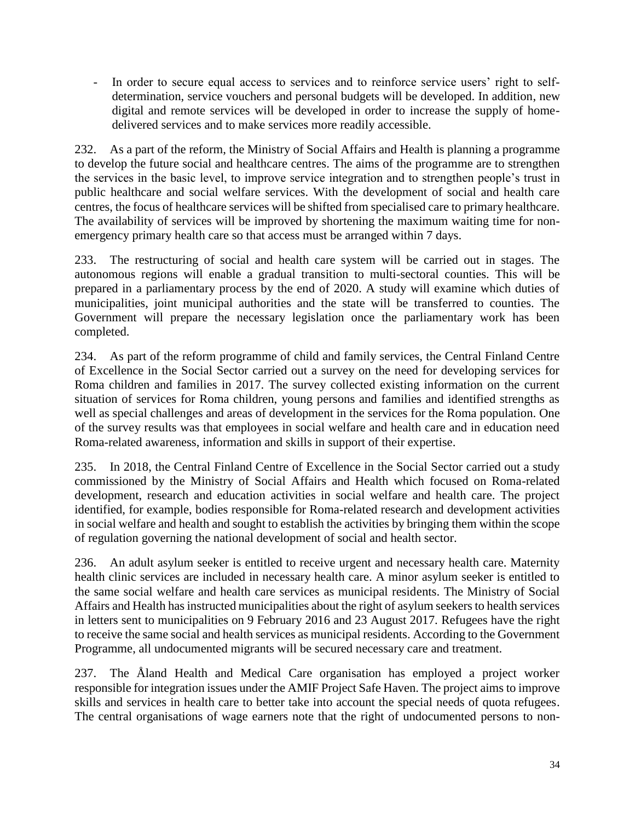- In order to secure equal access to services and to reinforce service users' right to selfdetermination, service vouchers and personal budgets will be developed. In addition, new digital and remote services will be developed in order to increase the supply of homedelivered services and to make services more readily accessible.

232. As a part of the reform, the Ministry of Social Affairs and Health is planning a programme to develop the future social and healthcare centres. The aims of the programme are to strengthen the services in the basic level, to improve service integration and to strengthen people's trust in public healthcare and social welfare services. With the development of social and health care centres, the focus of healthcare services will be shifted from specialised care to primary healthcare. The availability of services will be improved by shortening the maximum waiting time for nonemergency primary health care so that access must be arranged within 7 days.

233. The restructuring of social and health care system will be carried out in stages. The autonomous regions will enable a gradual transition to multi-sectoral counties. This will be prepared in a parliamentary process by the end of 2020. A study will examine which duties of municipalities, joint municipal authorities and the state will be transferred to counties. The Government will prepare the necessary legislation once the parliamentary work has been completed.

234. As part of the reform programme of child and family services, the Central Finland Centre of Excellence in the Social Sector carried out a survey on the need for developing services for Roma children and families in 2017. The survey collected existing information on the current situation of services for Roma children, young persons and families and identified strengths as well as special challenges and areas of development in the services for the Roma population. One of the survey results was that employees in social welfare and health care and in education need Roma-related awareness, information and skills in support of their expertise.

235. In 2018, the Central Finland Centre of Excellence in the Social Sector carried out a study commissioned by the Ministry of Social Affairs and Health which focused on Roma-related development, research and education activities in social welfare and health care. The project identified, for example, bodies responsible for Roma-related research and development activities in social welfare and health and sought to establish the activities by bringing them within the scope of regulation governing the national development of social and health sector.

236. An adult asylum seeker is entitled to receive urgent and necessary health care. Maternity health clinic services are included in necessary health care. A minor asylum seeker is entitled to the same social welfare and health care services as municipal residents. The Ministry of Social Affairs and Health has instructed municipalities about the right of asylum seekers to health services in letters sent to municipalities on 9 February 2016 and 23 August 2017. Refugees have the right to receive the same social and health services as municipal residents. According to the Government Programme, all undocumented migrants will be secured necessary care and treatment.

237. The Åland Health and Medical Care organisation has employed a project worker responsible for integration issues under the AMIF Project Safe Haven. The project aims to improve skills and services in health care to better take into account the special needs of quota refugees. The central organisations of wage earners note that the right of undocumented persons to non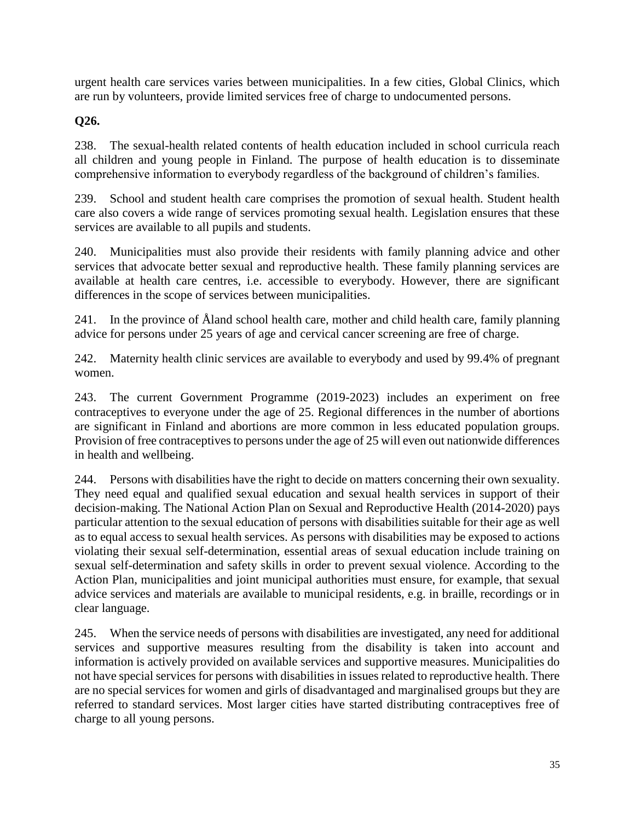urgent health care services varies between municipalities. In a few cities, Global Clinics, which are run by volunteers, provide limited services free of charge to undocumented persons.

### **Q26.**

238. The sexual-health related contents of health education included in school curricula reach all children and young people in Finland. The purpose of health education is to disseminate comprehensive information to everybody regardless of the background of children's families.

239. School and student health care comprises the promotion of sexual health. Student health care also covers a wide range of services promoting sexual health. Legislation ensures that these services are available to all pupils and students.

240. Municipalities must also provide their residents with family planning advice and other services that advocate better sexual and reproductive health. These family planning services are available at health care centres, i.e. accessible to everybody. However, there are significant differences in the scope of services between municipalities.

241. In the province of Åland school health care, mother and child health care, family planning advice for persons under 25 years of age and cervical cancer screening are free of charge.

242. Maternity health clinic services are available to everybody and used by 99.4% of pregnant women.

243. The current Government Programme (2019-2023) includes an experiment on free contraceptives to everyone under the age of 25. Regional differences in the number of abortions are significant in Finland and abortions are more common in less educated population groups. Provision of free contraceptives to persons under the age of 25 will even out nationwide differences in health and wellbeing.

244. Persons with disabilities have the right to decide on matters concerning their own sexuality. They need equal and qualified sexual education and sexual health services in support of their decision-making. The National Action Plan on Sexual and Reproductive Health (2014-2020) pays particular attention to the sexual education of persons with disabilities suitable for their age as well as to equal access to sexual health services. As persons with disabilities may be exposed to actions violating their sexual self-determination, essential areas of sexual education include training on sexual self-determination and safety skills in order to prevent sexual violence. According to the Action Plan, municipalities and joint municipal authorities must ensure, for example, that sexual advice services and materials are available to municipal residents, e.g. in braille, recordings or in clear language.

245. When the service needs of persons with disabilities are investigated, any need for additional services and supportive measures resulting from the disability is taken into account and information is actively provided on available services and supportive measures. Municipalities do not have special services for persons with disabilities in issues related to reproductive health. There are no special services for women and girls of disadvantaged and marginalised groups but they are referred to standard services. Most larger cities have started distributing contraceptives free of charge to all young persons.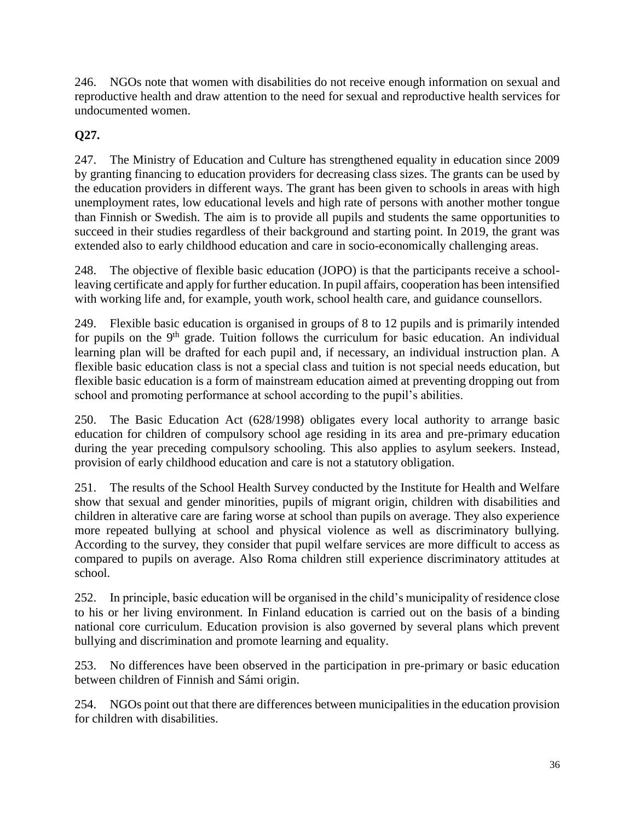246. NGOs note that women with disabilities do not receive enough information on sexual and reproductive health and draw attention to the need for sexual and reproductive health services for undocumented women.

# **Q27.**

247. The Ministry of Education and Culture has strengthened equality in education since 2009 by granting financing to education providers for decreasing class sizes. The grants can be used by the education providers in different ways. The grant has been given to schools in areas with high unemployment rates, low educational levels and high rate of persons with another mother tongue than Finnish or Swedish. The aim is to provide all pupils and students the same opportunities to succeed in their studies regardless of their background and starting point. In 2019, the grant was extended also to early childhood education and care in socio-economically challenging areas.

248. The objective of flexible basic education (JOPO) is that the participants receive a schoolleaving certificate and apply for further education. In pupil affairs, cooperation has been intensified with working life and, for example, youth work, school health care, and guidance counsellors.

249. Flexible basic education is organised in groups of 8 to 12 pupils and is primarily intended for pupils on the  $9<sup>th</sup>$  grade. Tuition follows the curriculum for basic education. An individual learning plan will be drafted for each pupil and, if necessary, an individual instruction plan. A flexible basic education class is not a special class and tuition is not special needs education, but flexible basic education is a form of mainstream education aimed at preventing dropping out from school and promoting performance at school according to the pupil's abilities.

250. The Basic Education Act (628/1998) obligates every local authority to arrange basic education for children of compulsory school age residing in its area and pre-primary education during the year preceding compulsory schooling. This also applies to asylum seekers. Instead, provision of early childhood education and care is not a statutory obligation.

251. The results of the School Health Survey conducted by the Institute for Health and Welfare show that sexual and gender minorities, pupils of migrant origin, children with disabilities and children in alterative care are faring worse at school than pupils on average. They also experience more repeated bullying at school and physical violence as well as discriminatory bullying. According to the survey, they consider that pupil welfare services are more difficult to access as compared to pupils on average. Also Roma children still experience discriminatory attitudes at school.

252. In principle, basic education will be organised in the child's municipality of residence close to his or her living environment. In Finland education is carried out on the basis of a binding national core curriculum. Education provision is also governed by several plans which prevent bullying and discrimination and promote learning and equality.

253. No differences have been observed in the participation in pre-primary or basic education between children of Finnish and Sámi origin.

254. NGOs point out that there are differences between municipalities in the education provision for children with disabilities.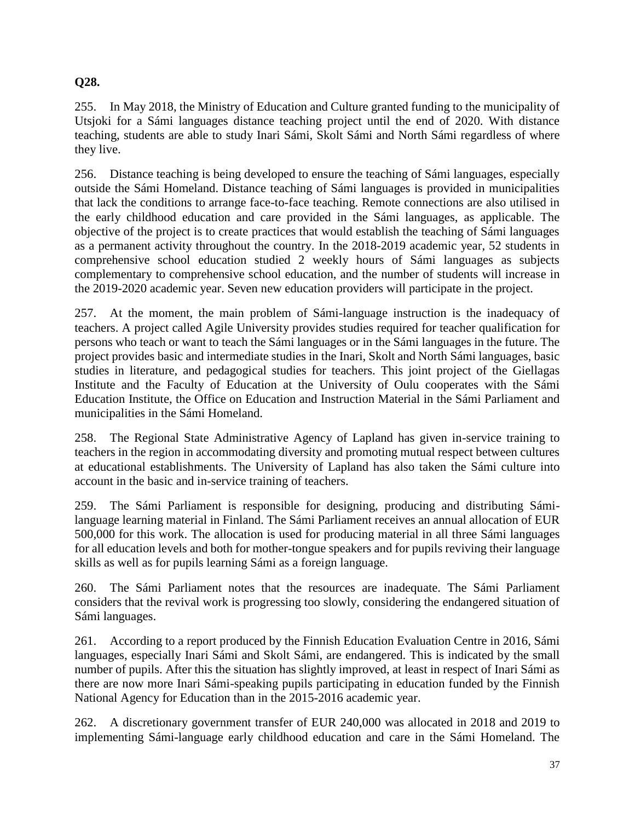### **Q28.**

255. In May 2018, the Ministry of Education and Culture granted funding to the municipality of Utsjoki for a Sámi languages distance teaching project until the end of 2020. With distance teaching, students are able to study Inari Sámi, Skolt Sámi and North Sámi regardless of where they live.

256. Distance teaching is being developed to ensure the teaching of Sámi languages, especially outside the Sámi Homeland. Distance teaching of Sámi languages is provided in municipalities that lack the conditions to arrange face-to-face teaching. Remote connections are also utilised in the early childhood education and care provided in the Sámi languages, as applicable. The objective of the project is to create practices that would establish the teaching of Sámi languages as a permanent activity throughout the country. In the 2018-2019 academic year, 52 students in comprehensive school education studied 2 weekly hours of Sámi languages as subjects complementary to comprehensive school education, and the number of students will increase in the 2019-2020 academic year. Seven new education providers will participate in the project.

257. At the moment, the main problem of Sámi-language instruction is the inadequacy of teachers. A project called Agile University provides studies required for teacher qualification for persons who teach or want to teach the Sámi languages or in the Sámi languages in the future. The project provides basic and intermediate studies in the Inari, Skolt and North Sámi languages, basic studies in literature, and pedagogical studies for teachers. This joint project of the Giellagas Institute and the Faculty of Education at the University of Oulu cooperates with the Sámi Education Institute, the Office on Education and Instruction Material in the Sámi Parliament and municipalities in the Sámi Homeland.

258. The Regional State Administrative Agency of Lapland has given in-service training to teachers in the region in accommodating diversity and promoting mutual respect between cultures at educational establishments. The University of Lapland has also taken the Sámi culture into account in the basic and in-service training of teachers.

259. The Sámi Parliament is responsible for designing, producing and distributing Sámilanguage learning material in Finland. The Sámi Parliament receives an annual allocation of EUR 500,000 for this work. The allocation is used for producing material in all three Sámi languages for all education levels and both for mother-tongue speakers and for pupils reviving their language skills as well as for pupils learning Sámi as a foreign language.

260. The Sámi Parliament notes that the resources are inadequate. The Sámi Parliament considers that the revival work is progressing too slowly, considering the endangered situation of Sámi languages.

261. According to a report produced by the Finnish Education Evaluation Centre in 2016, Sámi languages, especially Inari Sámi and Skolt Sámi, are endangered. This is indicated by the small number of pupils. After this the situation has slightly improved, at least in respect of Inari Sámi as there are now more Inari Sámi-speaking pupils participating in education funded by the Finnish National Agency for Education than in the 2015-2016 academic year.

262. A discretionary government transfer of EUR 240,000 was allocated in 2018 and 2019 to implementing Sámi-language early childhood education and care in the Sámi Homeland. The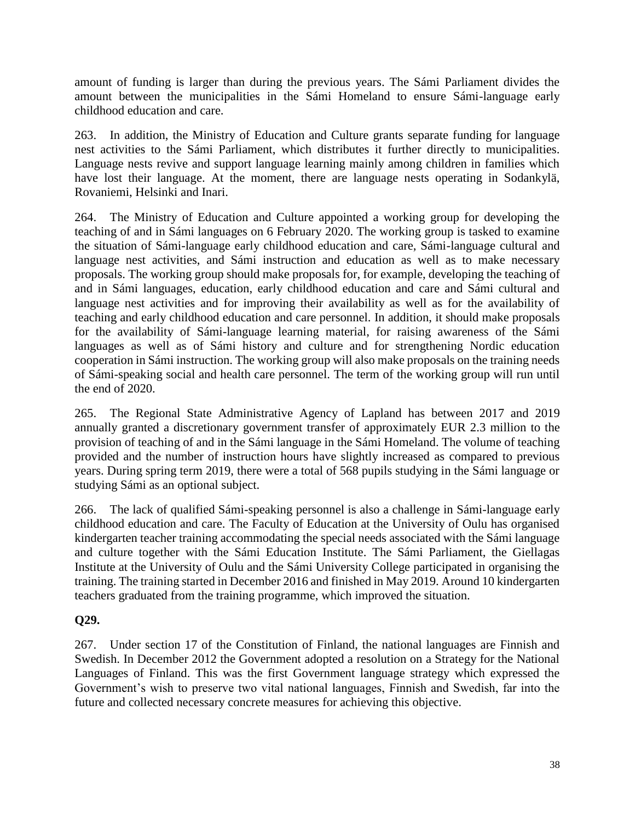amount of funding is larger than during the previous years. The Sámi Parliament divides the amount between the municipalities in the Sámi Homeland to ensure Sámi-language early childhood education and care.

263. In addition, the Ministry of Education and Culture grants separate funding for language nest activities to the Sámi Parliament, which distributes it further directly to municipalities. Language nests revive and support language learning mainly among children in families which have lost their language. At the moment, there are language nests operating in Sodankylä, Rovaniemi, Helsinki and Inari.

264. The Ministry of Education and Culture appointed a working group for developing the teaching of and in Sámi languages on 6 February 2020. The working group is tasked to examine the situation of Sámi-language early childhood education and care, Sámi-language cultural and language nest activities, and Sámi instruction and education as well as to make necessary proposals. The working group should make proposals for, for example, developing the teaching of and in Sámi languages, education, early childhood education and care and Sámi cultural and language nest activities and for improving their availability as well as for the availability of teaching and early childhood education and care personnel. In addition, it should make proposals for the availability of Sámi-language learning material, for raising awareness of the Sámi languages as well as of Sámi history and culture and for strengthening Nordic education cooperation in Sámi instruction. The working group will also make proposals on the training needs of Sámi-speaking social and health care personnel. The term of the working group will run until the end of 2020.

265. The Regional State Administrative Agency of Lapland has between 2017 and 2019 annually granted a discretionary government transfer of approximately EUR 2.3 million to the provision of teaching of and in the Sámi language in the Sámi Homeland. The volume of teaching provided and the number of instruction hours have slightly increased as compared to previous years. During spring term 2019, there were a total of 568 pupils studying in the Sámi language or studying Sámi as an optional subject.

266. The lack of qualified Sámi-speaking personnel is also a challenge in Sámi-language early childhood education and care. The Faculty of Education at the University of Oulu has organised kindergarten teacher training accommodating the special needs associated with the Sámi language and culture together with the Sámi Education Institute. The Sámi Parliament, the Giellagas Institute at the University of Oulu and the Sámi University College participated in organising the training. The training started in December 2016 and finished in May 2019. Around 10 kindergarten teachers graduated from the training programme, which improved the situation.

### **Q29.**

267. Under section 17 of the Constitution of Finland, the national languages are Finnish and Swedish. In December 2012 the Government adopted a resolution on a Strategy for the National Languages of Finland. This was the first Government language strategy which expressed the Government's wish to preserve two vital national languages, Finnish and Swedish, far into the future and collected necessary concrete measures for achieving this objective.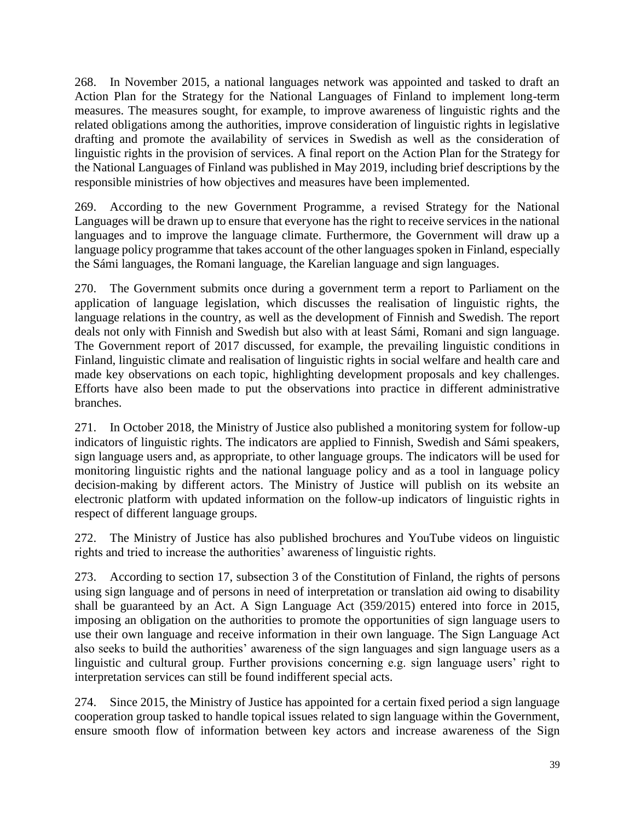268. In November 2015, a national languages network was appointed and tasked to draft an Action Plan for the Strategy for the National Languages of Finland to implement long-term measures. The measures sought, for example, to improve awareness of linguistic rights and the related obligations among the authorities, improve consideration of linguistic rights in legislative drafting and promote the availability of services in Swedish as well as the consideration of linguistic rights in the provision of services. A final report on the Action Plan for the Strategy for the National Languages of Finland was published in May 2019, including brief descriptions by the responsible ministries of how objectives and measures have been implemented.

269. According to the new Government Programme, a revised Strategy for the National Languages will be drawn up to ensure that everyone has the right to receive services in the national languages and to improve the language climate. Furthermore, the Government will draw up a language policy programme that takes account of the other languages spoken in Finland, especially the Sámi languages, the Romani language, the Karelian language and sign languages.

270. The Government submits once during a government term a report to Parliament on the application of language legislation, which discusses the realisation of linguistic rights, the language relations in the country, as well as the development of Finnish and Swedish. The report deals not only with Finnish and Swedish but also with at least Sámi, Romani and sign language. The Government report of 2017 discussed, for example, the prevailing linguistic conditions in Finland, linguistic climate and realisation of linguistic rights in social welfare and health care and made key observations on each topic, highlighting development proposals and key challenges. Efforts have also been made to put the observations into practice in different administrative branches.

271. In October 2018, the Ministry of Justice also published a monitoring system for follow-up indicators of linguistic rights. The indicators are applied to Finnish, Swedish and Sámi speakers, sign language users and, as appropriate, to other language groups. The indicators will be used for monitoring linguistic rights and the national language policy and as a tool in language policy decision-making by different actors. The Ministry of Justice will publish on its website an electronic platform with updated information on the follow-up indicators of linguistic rights in respect of different language groups.

272. The Ministry of Justice has also published brochures and YouTube videos on linguistic rights and tried to increase the authorities' awareness of linguistic rights.

273. According to section 17, subsection 3 of the Constitution of Finland, the rights of persons using sign language and of persons in need of interpretation or translation aid owing to disability shall be guaranteed by an Act. A Sign Language Act (359/2015) entered into force in 2015, imposing an obligation on the authorities to promote the opportunities of sign language users to use their own language and receive information in their own language. The Sign Language Act also seeks to build the authorities' awareness of the sign languages and sign language users as a linguistic and cultural group. Further provisions concerning e.g. sign language users' right to interpretation services can still be found indifferent special acts.

274. Since 2015, the Ministry of Justice has appointed for a certain fixed period a sign language cooperation group tasked to handle topical issues related to sign language within the Government, ensure smooth flow of information between key actors and increase awareness of the Sign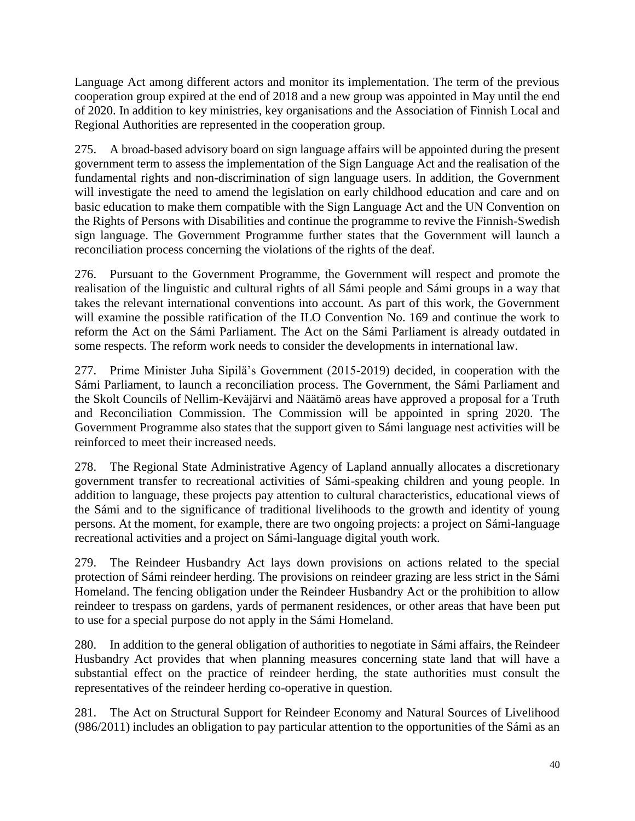Language Act among different actors and monitor its implementation. The term of the previous cooperation group expired at the end of 2018 and a new group was appointed in May until the end of 2020. In addition to key ministries, key organisations and the Association of Finnish Local and Regional Authorities are represented in the cooperation group.

275. A broad-based advisory board on sign language affairs will be appointed during the present government term to assess the implementation of the Sign Language Act and the realisation of the fundamental rights and non-discrimination of sign language users. In addition, the Government will investigate the need to amend the legislation on early childhood education and care and on basic education to make them compatible with the Sign Language Act and the UN Convention on the Rights of Persons with Disabilities and continue the programme to revive the Finnish-Swedish sign language. The Government Programme further states that the Government will launch a reconciliation process concerning the violations of the rights of the deaf.

276. Pursuant to the Government Programme, the Government will respect and promote the realisation of the linguistic and cultural rights of all Sámi people and Sámi groups in a way that takes the relevant international conventions into account. As part of this work, the Government will examine the possible ratification of the ILO Convention No. 169 and continue the work to reform the Act on the Sámi Parliament. The Act on the Sámi Parliament is already outdated in some respects. The reform work needs to consider the developments in international law.

277. Prime Minister Juha Sipilä's Government (2015-2019) decided, in cooperation with the Sámi Parliament, to launch a reconciliation process. The Government, the Sámi Parliament and the Skolt Councils of Nellim-Keväjärvi and Näätämö areas have approved a proposal for a Truth and Reconciliation Commission. The Commission will be appointed in spring 2020. The Government Programme also states that the support given to Sámi language nest activities will be reinforced to meet their increased needs.

278. The Regional State Administrative Agency of Lapland annually allocates a discretionary government transfer to recreational activities of Sámi-speaking children and young people. In addition to language, these projects pay attention to cultural characteristics, educational views of the Sámi and to the significance of traditional livelihoods to the growth and identity of young persons. At the moment, for example, there are two ongoing projects: a project on Sámi-language recreational activities and a project on Sámi-language digital youth work.

279. The Reindeer Husbandry Act lays down provisions on actions related to the special protection of Sámi reindeer herding. The provisions on reindeer grazing are less strict in the Sámi Homeland. The fencing obligation under the Reindeer Husbandry Act or the prohibition to allow reindeer to trespass on gardens, yards of permanent residences, or other areas that have been put to use for a special purpose do not apply in the Sámi Homeland.

280. In addition to the general obligation of authorities to negotiate in Sámi affairs, the Reindeer Husbandry Act provides that when planning measures concerning state land that will have a substantial effect on the practice of reindeer herding, the state authorities must consult the representatives of the reindeer herding co-operative in question.

281. The Act on Structural Support for Reindeer Economy and Natural Sources of Livelihood (986/2011) includes an obligation to pay particular attention to the opportunities of the Sámi as an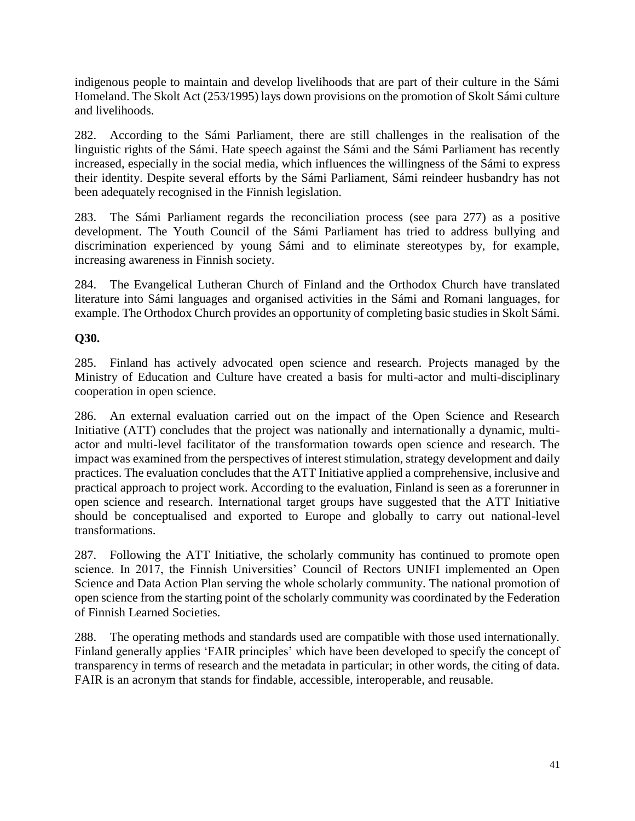indigenous people to maintain and develop livelihoods that are part of their culture in the Sámi Homeland. The Skolt Act (253/1995) lays down provisions on the promotion of Skolt Sámi culture and livelihoods.

282. According to the Sámi Parliament, there are still challenges in the realisation of the linguistic rights of the Sámi. Hate speech against the Sámi and the Sámi Parliament has recently increased, especially in the social media, which influences the willingness of the Sámi to express their identity. Despite several efforts by the Sámi Parliament, Sámi reindeer husbandry has not been adequately recognised in the Finnish legislation.

283. The Sámi Parliament regards the reconciliation process (see para 277) as a positive development. The Youth Council of the Sámi Parliament has tried to address bullying and discrimination experienced by young Sámi and to eliminate stereotypes by, for example, increasing awareness in Finnish society.

284. The Evangelical Lutheran Church of Finland and the Orthodox Church have translated literature into Sámi languages and organised activities in the Sámi and Romani languages, for example. The Orthodox Church provides an opportunity of completing basic studies in Skolt Sámi.

#### **Q30.**

285. Finland has actively advocated open science and research. Projects managed by the Ministry of Education and Culture have created a basis for multi-actor and multi-disciplinary cooperation in open science.

286. An external evaluation carried out on the impact of the Open Science and Research Initiative (ATT) concludes that the project was nationally and internationally a dynamic, multiactor and multi-level facilitator of the transformation towards open science and research. The impact was examined from the perspectives of interest stimulation, strategy development and daily practices. The evaluation concludes that the ATT Initiative applied a comprehensive, inclusive and practical approach to project work. According to the evaluation, Finland is seen as a forerunner in open science and research. International target groups have suggested that the ATT Initiative should be conceptualised and exported to Europe and globally to carry out national-level transformations.

287. Following the ATT Initiative, the scholarly community has continued to promote open science. In 2017, the Finnish Universities' Council of Rectors UNIFI implemented an Open Science and Data Action Plan serving the whole scholarly community. The national promotion of open science from the starting point of the scholarly community was coordinated by the Federation of Finnish Learned Societies.

288. The operating methods and standards used are compatible with those used internationally. Finland generally applies 'FAIR principles' which have been developed to specify the concept of transparency in terms of research and the metadata in particular; in other words, the citing of data. FAIR is an acronym that stands for findable, accessible, interoperable, and reusable.